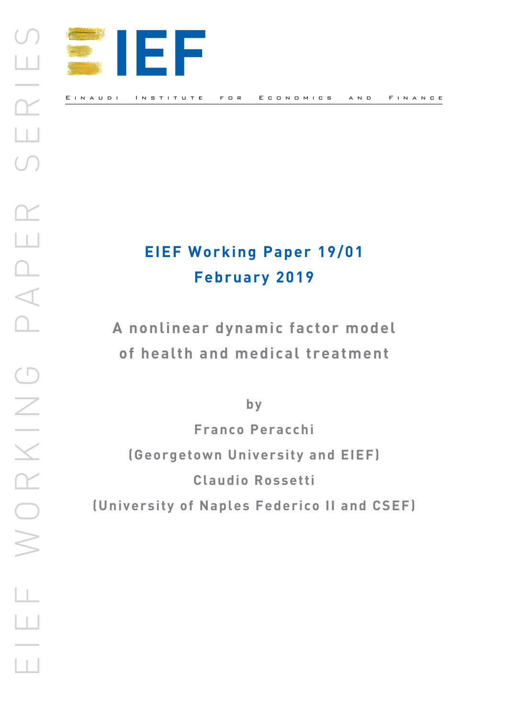

# **EIEF Working Paper 19/01 February 2019**

**A nonlinear dynamic factor model of health and medical treatment**

**by**

**Franco Peracchi (Georgetown University and EIEF) Claudio Rossetti (University of Naples Federico II and CSEF)**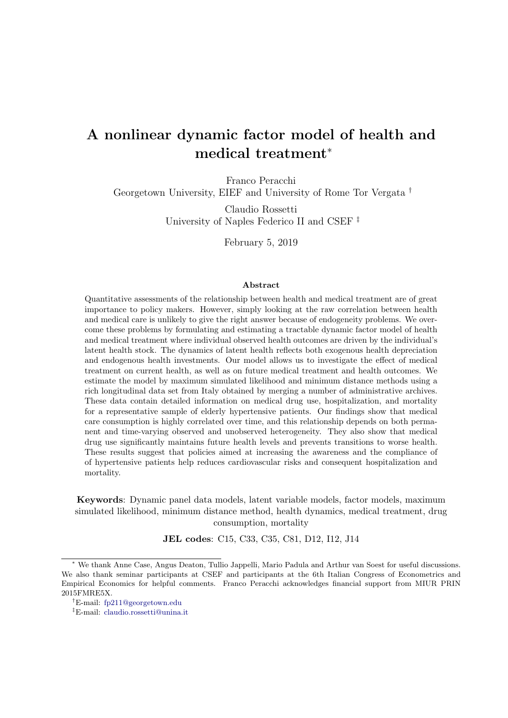## A nonlinear dynamic factor model of health and medical treatment<sup>∗</sup>

Franco Peracchi

Georgetown University, EIEF and University of Rome Tor Vergata †

Claudio Rossetti University of Naples Federico II and CSEF ‡

February 5, 2019

#### Abstract

Quantitative assessments of the relationship between health and medical treatment are of great importance to policy makers. However, simply looking at the raw correlation between health and medical care is unlikely to give the right answer because of endogeneity problems. We overcome these problems by formulating and estimating a tractable dynamic factor model of health and medical treatment where individual observed health outcomes are driven by the individual's latent health stock. The dynamics of latent health reflects both exogenous health depreciation and endogenous health investments. Our model allows us to investigate the effect of medical treatment on current health, as well as on future medical treatment and health outcomes. We estimate the model by maximum simulated likelihood and minimum distance methods using a rich longitudinal data set from Italy obtained by merging a number of administrative archives. These data contain detailed information on medical drug use, hospitalization, and mortality for a representative sample of elderly hypertensive patients. Our findings show that medical care consumption is highly correlated over time, and this relationship depends on both permanent and time-varying observed and unobserved heterogeneity. They also show that medical drug use significantly maintains future health levels and prevents transitions to worse health. These results suggest that policies aimed at increasing the awareness and the compliance of of hypertensive patients help reduces cardiovascular risks and consequent hospitalization and mortality.

Keywords: Dynamic panel data models, latent variable models, factor models, maximum simulated likelihood, minimum distance method, health dynamics, medical treatment, drug consumption, mortality

JEL codes: C15, C33, C35, C81, D12, I12, J14

<sup>∗</sup> We thank Anne Case, Angus Deaton, Tullio Jappelli, Mario Padula and Arthur van Soest for useful discussions. We also thank seminar participants at CSEF and participants at the 6th Italian Congress of Econometrics and Empirical Economics for helpful comments. Franco Peracchi acknowledges financial support from MIUR PRIN 2015FMRE5X.

<sup>†</sup>E-mail: [fp211@georgetown.edu](mailto:fp211@georgetown.edu)

<sup>‡</sup>E-mail: [claudio.rossetti@unina.it](mailto:claudio.rossetti@unina.it)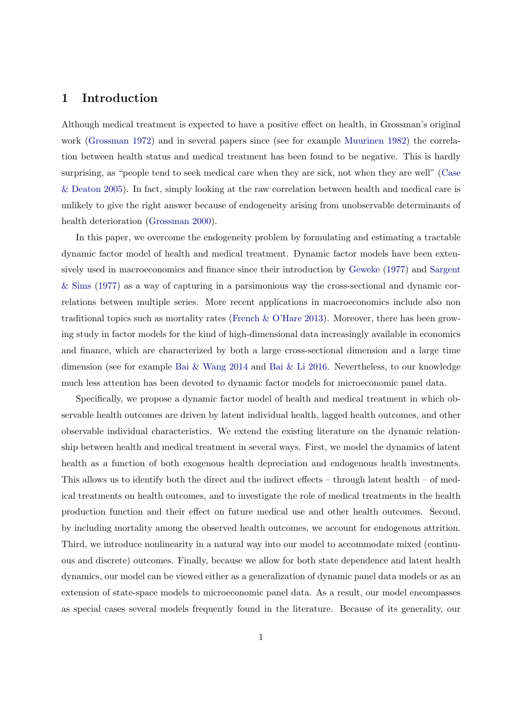## 1 Introduction

Although medical treatment is expected to have a positive effect on health, in Grossman's original work [\(Grossman](#page-24-0) [1972\)](#page-24-0) and in several papers since (see for example [Muurinen](#page-25-0) [1982\)](#page-25-0) the correlation between health status and medical treatment has been found to be negative. This is hardly surprising, as "people tend to seek medical care when they are sick, not when they are well" [\(Case](#page-23-0) [& Deaton](#page-23-0) [2005\)](#page-23-0). In fact, simply looking at the raw correlation between health and medical care is unlikely to give the right answer because of endogeneity arising from unobservable determinants of health deterioration [\(Grossman](#page-24-1) [2000\)](#page-24-1).

In this paper, we overcome the endogeneity problem by formulating and estimating a tractable dynamic factor model of health and medical treatment. Dynamic factor models have been extensively used in macroeconomics and finance since their introduction by [Geweke](#page-24-2) [\(1977\)](#page-24-2) and [Sargent](#page-25-1) [& Sims](#page-25-1) [\(1977\)](#page-25-1) as a way of capturing in a parsimonious way the cross-sectional and dynamic correlations between multiple series. More recent applications in macroeconomics include also non traditional topics such as mortality rates [\(French & O'Hare](#page-24-3) [2013\)](#page-24-3). Moreover, there has been growing study in factor models for the kind of high-dimensional data increasingly available in economics and finance, which are characterized by both a large cross-sectional dimension and a large time dimension (see for example [Bai & Wang](#page-23-1) [2014](#page-23-1) and [Bai & Li](#page-23-2) [2016.](#page-23-2) Nevertheless, to our knowledge much less attention has been devoted to dynamic factor models for microeconomic panel data.

Specifically, we propose a dynamic factor model of health and medical treatment in which observable health outcomes are driven by latent individual health, lagged health outcomes, and other observable individual characteristics. We extend the existing literature on the dynamic relationship between health and medical treatment in several ways. First, we model the dynamics of latent health as a function of both exogenous health depreciation and endogenous health investments. This allows us to identify both the direct and the indirect effects – through latent health – of medical treatments on health outcomes, and to investigate the role of medical treatments in the health production function and their effect on future medical use and other health outcomes. Second, by including mortality among the observed health outcomes, we account for endogenous attrition. Third, we introduce nonlinearity in a natural way into our model to accommodate mixed (continuous and discrete) outcomes. Finally, because we allow for both state dependence and latent health dynamics, our model can be viewed either as a generalization of dynamic panel data models or as an extension of state-space models to microeconomic panel data. As a result, our model encompasses as special cases several models frequently found in the literature. Because of its generality, our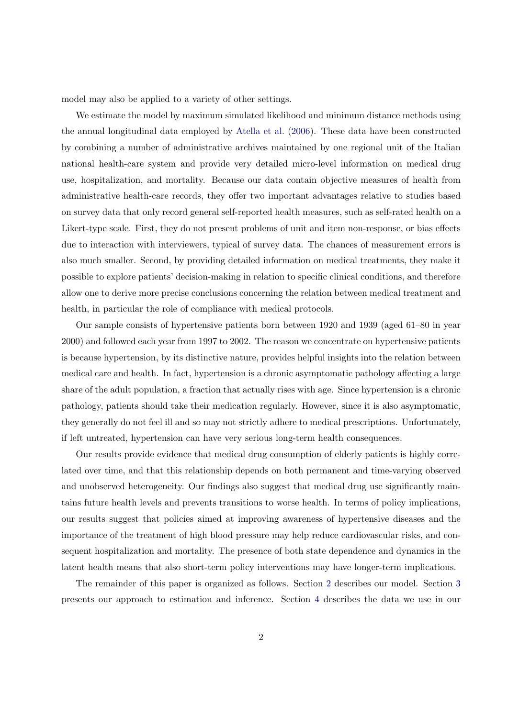model may also be applied to a variety of other settings.

We estimate the model by maximum simulated likelihood and minimum distance methods using the annual longitudinal data employed by [Atella et al.](#page-23-3) [\(2006\)](#page-23-3). These data have been constructed by combining a number of administrative archives maintained by one regional unit of the Italian national health-care system and provide very detailed micro-level information on medical drug use, hospitalization, and mortality. Because our data contain objective measures of health from administrative health-care records, they offer two important advantages relative to studies based on survey data that only record general self-reported health measures, such as self-rated health on a Likert-type scale. First, they do not present problems of unit and item non-response, or bias effects due to interaction with interviewers, typical of survey data. The chances of measurement errors is also much smaller. Second, by providing detailed information on medical treatments, they make it possible to explore patients' decision-making in relation to specific clinical conditions, and therefore allow one to derive more precise conclusions concerning the relation between medical treatment and health, in particular the role of compliance with medical protocols.

Our sample consists of hypertensive patients born between 1920 and 1939 (aged 61–80 in year 2000) and followed each year from 1997 to 2002. The reason we concentrate on hypertensive patients is because hypertension, by its distinctive nature, provides helpful insights into the relation between medical care and health. In fact, hypertension is a chronic asymptomatic pathology affecting a large share of the adult population, a fraction that actually rises with age. Since hypertension is a chronic pathology, patients should take their medication regularly. However, since it is also asymptomatic, they generally do not feel ill and so may not strictly adhere to medical prescriptions. Unfortunately, if left untreated, hypertension can have very serious long-term health consequences.

Our results provide evidence that medical drug consumption of elderly patients is highly correlated over time, and that this relationship depends on both permanent and time-varying observed and unobserved heterogeneity. Our findings also suggest that medical drug use significantly maintains future health levels and prevents transitions to worse health. In terms of policy implications, our results suggest that policies aimed at improving awareness of hypertensive diseases and the importance of the treatment of high blood pressure may help reduce cardiovascular risks, and consequent hospitalization and mortality. The presence of both state dependence and dynamics in the latent health means that also short-term policy interventions may have longer-term implications.

The remainder of this paper is organized as follows. Section [2](#page-4-0) describes our model. Section [3](#page-10-0) presents our approach to estimation and inference. Section [4](#page-13-0) describes the data we use in our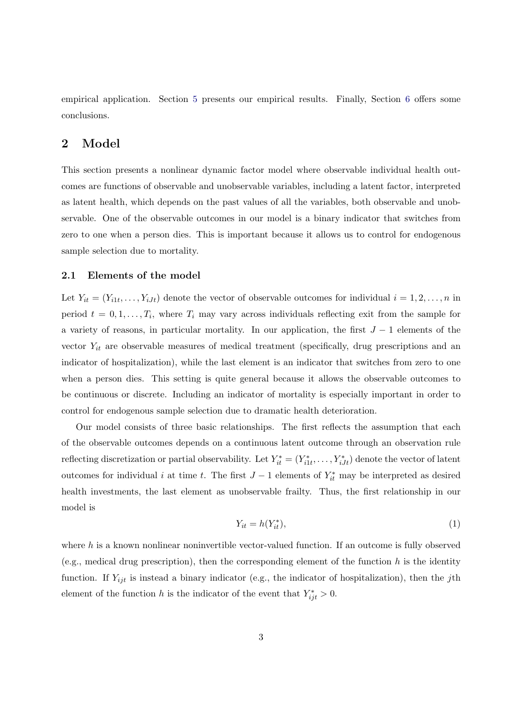empirical application. Section [5](#page-16-0) presents our empirical results. Finally, Section [6](#page-21-0) offers some conclusions.

## <span id="page-4-0"></span>2 Model

This section presents a nonlinear dynamic factor model where observable individual health outcomes are functions of observable and unobservable variables, including a latent factor, interpreted as latent health, which depends on the past values of all the variables, both observable and unobservable. One of the observable outcomes in our model is a binary indicator that switches from zero to one when a person dies. This is important because it allows us to control for endogenous sample selection due to mortality.

#### 2.1 Elements of the model

Let  $Y_{it} = (Y_{i1t}, \ldots, Y_{iJt})$  denote the vector of observable outcomes for individual  $i = 1, 2, \ldots, n$  in period  $t = 0, 1, \ldots, T_i$ , where  $T_i$  may vary across individuals reflecting exit from the sample for a variety of reasons, in particular mortality. In our application, the first  $J-1$  elements of the vector  $Y_{it}$  are observable measures of medical treatment (specifically, drug prescriptions and an indicator of hospitalization), while the last element is an indicator that switches from zero to one when a person dies. This setting is quite general because it allows the observable outcomes to be continuous or discrete. Including an indicator of mortality is especially important in order to control for endogenous sample selection due to dramatic health deterioration.

Our model consists of three basic relationships. The first reflects the assumption that each of the observable outcomes depends on a continuous latent outcome through an observation rule reflecting discretization or partial observability. Let  $Y_{it}^* = (Y_{i1t}^*, \ldots, Y_{iJt}^*)$  denote the vector of latent outcomes for individual i at time t. The first  $J-1$  elements of  $Y_{it}^*$  may be interpreted as desired health investments, the last element as unobservable frailty. Thus, the first relationship in our model is

<span id="page-4-1"></span>
$$
Y_{it} = h(Y_{it}^*),\tag{1}
$$

where  $h$  is a known nonlinear noninvertible vector-valued function. If an outcome is fully observed (e.g., medical drug prescription), then the corresponding element of the function  $h$  is the identity function. If  $Y_{ijt}$  is instead a binary indicator (e.g., the indicator of hospitalization), then the jth element of the function h is the indicator of the event that  $Y_{ijt}^* > 0$ .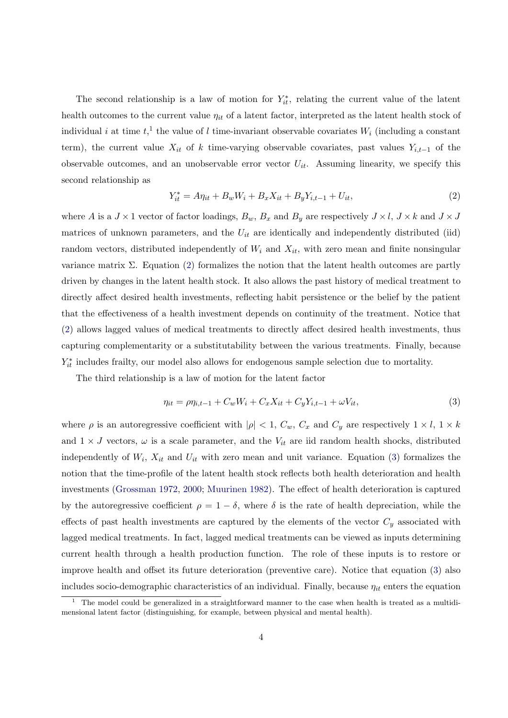The second relationship is a law of motion for  $Y_{it}^*$ , relating the current value of the latent health outcomes to the current value  $\eta_{it}$  of a latent factor, interpreted as the latent health stock of individual *i* at time  $t$ ,<sup>[1](#page-5-0)</sup> the value of *l* time-invariant observable covariates  $W_i$  (including a constant term), the current value  $X_{it}$  of k time-varying observable covariates, past values  $Y_{i,t-1}$  of the observable outcomes, and an unobservable error vector  $U_{it}$ . Assuming linearity, we specify this second relationship as

<span id="page-5-1"></span>
$$
Y_{it}^* = A\eta_{it} + B_w W_i + B_x X_{it} + B_y Y_{i,t-1} + U_{it},\tag{2}
$$

where A is a  $J \times 1$  vector of factor loadings,  $B_w$ ,  $B_x$  and  $B_y$  are respectively  $J \times l$ ,  $J \times k$  and  $J \times J$ matrices of unknown parameters, and the  $U_{it}$  are identically and independently distributed (iid) random vectors, distributed independently of  $W_i$  and  $X_{it}$ , with zero mean and finite nonsingular variance matrix  $\Sigma$ . Equation [\(2\)](#page-5-1) formalizes the notion that the latent health outcomes are partly driven by changes in the latent health stock. It also allows the past history of medical treatment to directly affect desired health investments, reflecting habit persistence or the belief by the patient that the effectiveness of a health investment depends on continuity of the treatment. Notice that [\(2\)](#page-5-1) allows lagged values of medical treatments to directly affect desired health investments, thus capturing complementarity or a substitutability between the various treatments. Finally, because  $Y_{it}^*$  includes frailty, our model also allows for endogenous sample selection due to mortality.

The third relationship is a law of motion for the latent factor

<span id="page-5-2"></span>
$$
\eta_{it} = \rho \eta_{i,t-1} + C_w W_i + C_x X_{it} + C_y Y_{i,t-1} + \omega V_{it},\tag{3}
$$

where  $\rho$  is an autoregressive coefficient with  $|\rho| < 1$ ,  $C_w$ ,  $C_x$  and  $C_y$  are respectively  $1 \times l$ ,  $1 \times k$ and  $1 \times J$  vectors,  $\omega$  is a scale parameter, and the  $V_{it}$  are iid random health shocks, distributed independently of  $W_i$ ,  $X_{it}$  and  $U_{it}$  with zero mean and unit variance. Equation [\(3\)](#page-5-2) formalizes the notion that the time-profile of the latent health stock reflects both health deterioration and health investments [\(Grossman](#page-24-0) [1972,](#page-24-0) [2000;](#page-24-1) [Muurinen](#page-25-0) [1982\)](#page-25-0). The effect of health deterioration is captured by the autoregressive coefficient  $\rho = 1 - \delta$ , where  $\delta$  is the rate of health depreciation, while the effects of past health investments are captured by the elements of the vector  $C_y$  associated with lagged medical treatments. In fact, lagged medical treatments can be viewed as inputs determining current health through a health production function. The role of these inputs is to restore or improve health and offset its future deterioration (preventive care). Notice that equation [\(3\)](#page-5-2) also includes socio-demographic characteristics of an individual. Finally, because  $\eta_{it}$  enters the equation

<span id="page-5-0"></span><sup>&</sup>lt;sup>1</sup> The model could be generalized in a straightforward manner to the case when health is treated as a multidimensional latent factor (distinguishing, for example, between physical and mental health).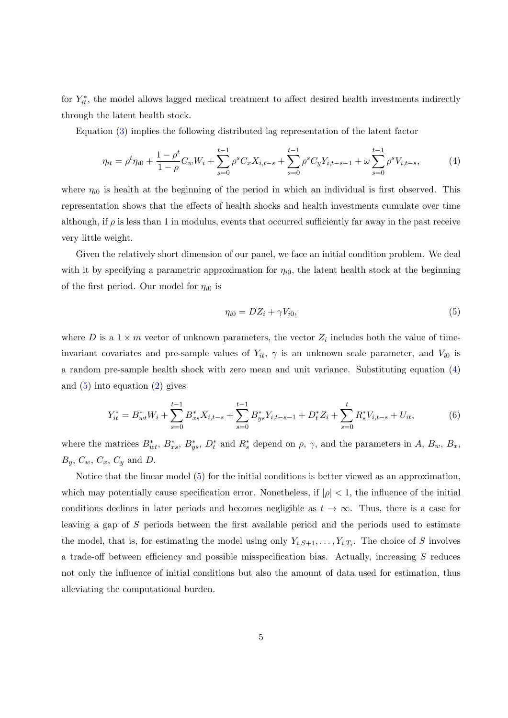for  $Y_{it}^*$ , the model allows lagged medical treatment to affect desired health investments indirectly through the latent health stock.

Equation [\(3\)](#page-5-2) implies the following distributed lag representation of the latent factor

<span id="page-6-0"></span>
$$
\eta_{it} = \rho^t \eta_{i0} + \frac{1 - \rho^t}{1 - \rho} C_w W_i + \sum_{s=0}^{t-1} \rho^s C_x X_{i,t-s} + \sum_{s=0}^{t-1} \rho^s C_y Y_{i,t-s-1} + \omega \sum_{s=0}^{t-1} \rho^s V_{i,t-s},\tag{4}
$$

where  $\eta_{i0}$  is health at the beginning of the period in which an individual is first observed. This representation shows that the effects of health shocks and health investments cumulate over time although, if  $\rho$  is less than 1 in modulus, events that occurred sufficiently far away in the past receive very little weight.

Given the relatively short dimension of our panel, we face an initial condition problem. We deal with it by specifying a parametric approximation for  $\eta_{i0}$ , the latent health stock at the beginning of the first period. Our model for  $\eta_{i0}$  is

<span id="page-6-1"></span>
$$
\eta_{i0} = DZ_i + \gamma V_{i0},\tag{5}
$$

where D is a  $1 \times m$  vector of unknown parameters, the vector  $Z_i$  includes both the value of timeinvariant covariates and pre-sample values of  $Y_{it}$ ,  $\gamma$  is an unknown scale parameter, and  $V_{i0}$  is a random pre-sample health shock with zero mean and unit variance. Substituting equation [\(4\)](#page-6-0) and [\(5\)](#page-6-1) into equation [\(2\)](#page-5-1) gives

<span id="page-6-2"></span>
$$
Y_{it}^* = B_{wt}^* W_i + \sum_{s=0}^{t-1} B_{xs}^* X_{i,t-s} + \sum_{s=0}^{t-1} B_{ys}^* Y_{i,t-s-1} + D_t^* Z_i + \sum_{s=0}^t R_s^* V_{i,t-s} + U_{it},\tag{6}
$$

where the matrices  $B_{wt}^*$ ,  $B_{xs}^*$ ,  $B_{ys}^*$ ,  $D_t^*$  and  $R_s^*$  depend on  $\rho$ ,  $\gamma$ , and the parameters in A,  $B_w$ ,  $B_x$ ,  $B_y$ ,  $C_w$ ,  $C_x$ ,  $C_y$  and  $D$ .

Notice that the linear model [\(5\)](#page-6-1) for the initial conditions is better viewed as an approximation, which may potentially cause specification error. Nonetheless, if  $|\rho| < 1$ , the influence of the initial conditions declines in later periods and becomes negligible as  $t \to \infty$ . Thus, there is a case for leaving a gap of S periods between the first available period and the periods used to estimate the model, that is, for estimating the model using only  $Y_{i,S+1}, \ldots, Y_{i,T_i}$ . The choice of S involves a trade-off between efficiency and possible misspecification bias. Actually, increasing S reduces not only the influence of initial conditions but also the amount of data used for estimation, thus alleviating the computational burden.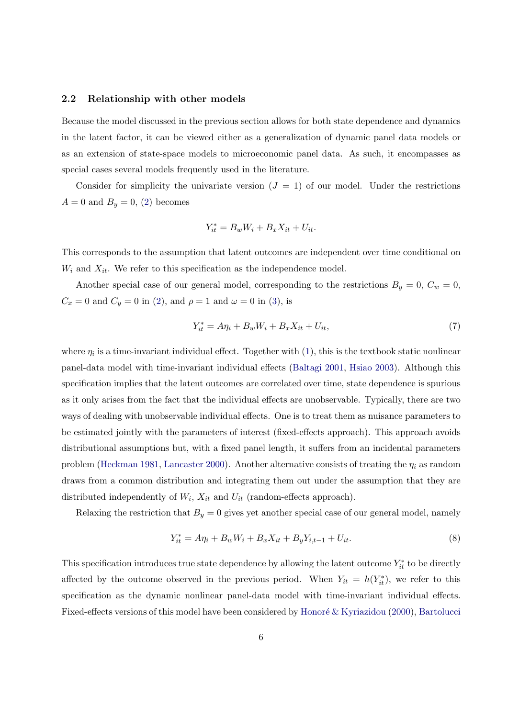#### 2.2 Relationship with other models

Because the model discussed in the previous section allows for both state dependence and dynamics in the latent factor, it can be viewed either as a generalization of dynamic panel data models or as an extension of state-space models to microeconomic panel data. As such, it encompasses as special cases several models frequently used in the literature.

Consider for simplicity the univariate version  $(J = 1)$  of our model. Under the restrictions  $A = 0$  and  $B<sub>y</sub> = 0$ , [\(2\)](#page-5-1) becomes

$$
Y_{it}^* = B_w W_i + B_x X_{it} + U_{it}.
$$

This corresponds to the assumption that latent outcomes are independent over time conditional on  $W_i$  and  $X_{it}$ . We refer to this specification as the independence model.

Another special case of our general model, corresponding to the restrictions  $B_y = 0$ ,  $C_w = 0$ ,  $C_x = 0$  and  $C_y = 0$  in [\(2\)](#page-5-1), and  $\rho = 1$  and  $\omega = 0$  in [\(3\)](#page-5-2), is

$$
Y_{it}^* = A\eta_i + B_w W_i + B_x X_{it} + U_{it},\tag{7}
$$

where  $\eta_i$  is a time-invariant individual effect. Together with  $(1)$ , this is the textbook static nonlinear panel-data model with time-invariant individual effects [\(Baltagi](#page-23-4) [2001,](#page-23-4) [Hsiao](#page-25-2) [2003\)](#page-25-2). Although this specification implies that the latent outcomes are correlated over time, state dependence is spurious as it only arises from the fact that the individual effects are unobservable. Typically, there are two ways of dealing with unobservable individual effects. One is to treat them as nuisance parameters to be estimated jointly with the parameters of interest (fixed-effects approach). This approach avoids distributional assumptions but, with a fixed panel length, it suffers from an incidental parameters problem [\(Heckman](#page-24-4) [1981,](#page-24-4) [Lancaster](#page-25-3) [2000\)](#page-25-3). Another alternative consists of treating the  $\eta_i$  as random draws from a common distribution and integrating them out under the assumption that they are distributed independently of  $W_i$ ,  $X_{it}$  and  $U_{it}$  (random-effects approach).

Relaxing the restriction that  $B_y = 0$  gives yet another special case of our general model, namely

<span id="page-7-0"></span>
$$
Y_{it}^* = A\eta_i + B_w W_i + B_x X_{it} + B_y Y_{i,t-1} + U_{it}.
$$
\n(8)

This specification introduces true state dependence by allowing the latent outcome  $Y_{it}^*$  to be directly affected by the outcome observed in the previous period. When  $Y_{it} = h(Y_{it}^*)$ , we refer to this specification as the dynamic nonlinear panel-data model with time-invariant individual effects. Fixed-effects versions of this model have been considered by Honoré  $&$  Kyriazidou [\(2000\)](#page-25-4), [Bartolucci](#page-23-5)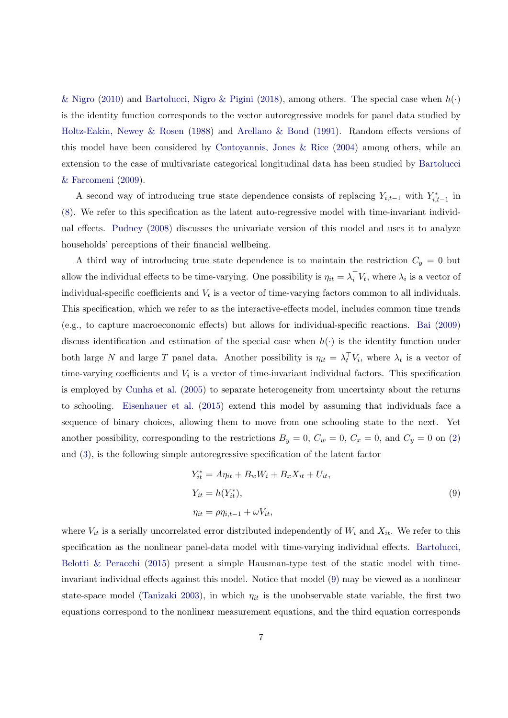[& Nigro](#page-23-5) [\(2010\)](#page-23-5) and [Bartolucci, Nigro & Pigini](#page-23-6) [\(2018\)](#page-23-6), among others. The special case when  $h(\cdot)$ is the identity function corresponds to the vector autoregressive models for panel data studied by [Holtz-Eakin, Newey & Rosen](#page-25-5) [\(1988\)](#page-25-5) and [Arellano & Bond](#page-23-7) [\(1991\)](#page-23-7). Random effects versions of this model have been considered by [Contoyannis, Jones & Rice](#page-23-8)  $(2004)$  among others, while an extension to the case of multivariate categorical longitudinal data has been studied by [Bartolucci](#page-23-9) [& Farcomeni](#page-23-9) [\(2009\)](#page-23-9).

A second way of introducing true state dependence consists of replacing  $Y_{i,t-1}$  with  $Y_{i,t-1}^*$  in [\(8\)](#page-7-0). We refer to this specification as the latent auto-regressive model with time-invariant individual effects. [Pudney](#page-25-6) [\(2008\)](#page-25-6) discusses the univariate version of this model and uses it to analyze households' perceptions of their financial wellbeing.

A third way of introducing true state dependence is to maintain the restriction  $C_y = 0$  but allow the individual effects to be time-varying. One possibility is  $\eta_{it} = \lambda_i^{\top} V_t$ , where  $\lambda_i$  is a vector of individual-specific coefficients and  $V_t$  is a vector of time-varying factors common to all individuals. This specification, which we refer to as the interactive-effects model, includes common time trends (e.g., to capture macroeconomic effects) but allows for individual-specific reactions. [Bai](#page-23-10) [\(2009\)](#page-23-10) discuss identification and estimation of the special case when  $h(\cdot)$  is the identity function under both large N and large T panel data. Another possibility is  $\eta_{it} = \lambda_t^{\top} V_i$ , where  $\lambda_t$  is a vector of time-varying coefficients and  $V_i$  is a vector of time-invariant individual factors. This specification is employed by [Cunha et al.](#page-24-5) [\(2005\)](#page-24-5) to separate heterogeneity from uncertainty about the returns to schooling. [Eisenhauer et al.](#page-24-6) [\(2015\)](#page-24-6) extend this model by assuming that individuals face a sequence of binary choices, allowing them to move from one schooling state to the next. Yet another possibility, corresponding to the restrictions  $B_y = 0$ ,  $C_w = 0$ ,  $C_x = 0$ , and  $C_y = 0$  on [\(2\)](#page-5-1) and [\(3\)](#page-5-2), is the following simple autoregressive specification of the latent factor

<span id="page-8-0"></span>
$$
Y_{it}^* = A\eta_{it} + B_w W_i + B_x X_{it} + U_{it},
$$
  
\n
$$
Y_{it} = h(Y_{it}^*),
$$
  
\n
$$
\eta_{it} = \rho \eta_{i,t-1} + \omega V_{it},
$$
\n(9)

where  $V_{it}$  is a serially uncorrelated error distributed independently of  $W_i$  and  $X_{it}$ . We refer to this specification as the nonlinear panel-data model with time-varying individual effects. [Bartolucci,](#page-23-11) Belotti  $\&$  Peracchi [\(2015\)](#page-23-11) present a simple Hausman-type test of the static model with timeinvariant individual effects against this model. Notice that model [\(9\)](#page-8-0) may be viewed as a nonlinear state-space model [\(Tanizaki](#page-25-7) [2003\)](#page-25-7), in which  $\eta_{it}$  is the unobservable state variable, the first two equations correspond to the nonlinear measurement equations, and the third equation corresponds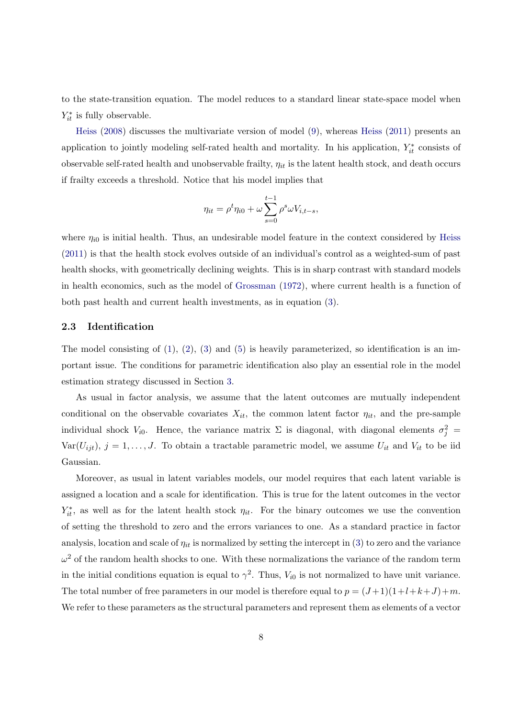to the state-transition equation. The model reduces to a standard linear state-space model when  $Y_{it}^*$  is fully observable.

[Heiss](#page-24-7) [\(2008\)](#page-24-7) discusses the multivariate version of model [\(9\)](#page-8-0), whereas [Heiss](#page-25-8) [\(2011\)](#page-25-8) presents an application to jointly modeling self-rated health and mortality. In his application,  $Y_{it}^*$  consists of observable self-rated health and unobservable frailty,  $\eta_{it}$  is the latent health stock, and death occurs if frailty exceeds a threshold. Notice that his model implies that

$$
\eta_{it} = \rho^t \eta_{i0} + \omega \sum_{s=0}^{t-1} \rho^s \omega V_{i,t-s},
$$

where  $\eta_{i0}$  is initial health. Thus, an undesirable model feature in the context considered by [Heiss](#page-25-8) [\(2011\)](#page-25-8) is that the health stock evolves outside of an individual's control as a weighted-sum of past health shocks, with geometrically declining weights. This is in sharp contrast with standard models in health economics, such as the model of [Grossman](#page-24-0) [\(1972\)](#page-24-0), where current health is a function of both past health and current health investments, as in equation [\(3\)](#page-5-2).

#### 2.3 Identification

The model consisting of  $(1)$ ,  $(2)$ ,  $(3)$  and  $(5)$  is heavily parameterized, so identification is an important issue. The conditions for parametric identification also play an essential role in the model estimation strategy discussed in Section [3.](#page-10-0)

As usual in factor analysis, we assume that the latent outcomes are mutually independent conditional on the observable covariates  $X_{it}$ , the common latent factor  $\eta_{it}$ , and the pre-sample individual shock  $V_{i0}$ . Hence, the variance matrix  $\Sigma$  is diagonal, with diagonal elements  $\sigma_j^2$  $Var(U_{ijt}), j = 1, \ldots, J$ . To obtain a tractable parametric model, we assume  $U_{it}$  and  $V_{it}$  to be iid Gaussian.

Moreover, as usual in latent variables models, our model requires that each latent variable is assigned a location and a scale for identification. This is true for the latent outcomes in the vector  $Y_{it}^*$ , as well as for the latent health stock  $\eta_{it}$ . For the binary outcomes we use the convention of setting the threshold to zero and the errors variances to one. As a standard practice in factor analysis, location and scale of  $\eta_{it}$  is normalized by setting the intercept in [\(3\)](#page-5-2) to zero and the variance  $\omega^2$  of the random health shocks to one. With these normalizations the variance of the random term in the initial conditions equation is equal to  $\gamma^2$ . Thus,  $V_{i0}$  is not normalized to have unit variance. The total number of free parameters in our model is therefore equal to  $p = (J+1)(1+l+k+J)+m$ . We refer to these parameters as the structural parameters and represent them as elements of a vector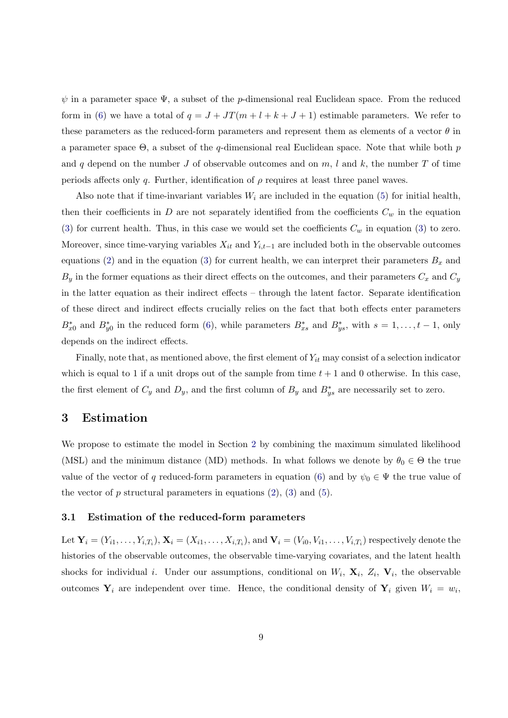$\psi$  in a parameter space  $\Psi$ , a subset of the *p*-dimensional real Euclidean space. From the reduced form in [\(6\)](#page-6-2) we have a total of  $q = J + JT(m + l + k + J + 1)$  estimable parameters. We refer to these parameters as the reduced-form parameters and represent them as elements of a vector  $\theta$  in a parameter space  $\Theta$ , a subset of the q-dimensional real Euclidean space. Note that while both p and q depend on the number J of observable outcomes and on  $m$ , l and k, the number T of time periods affects only q. Further, identification of  $\rho$  requires at least three panel waves.

Also note that if time-invariant variables  $W_i$  are included in the equation [\(5\)](#page-6-1) for initial health, then their coefficients in D are not separately identified from the coefficients  $C_w$  in the equation [\(3\)](#page-5-2) for current health. Thus, in this case we would set the coefficients  $C_w$  in equation (3) to zero. Moreover, since time-varying variables  $X_{it}$  and  $Y_{i,t-1}$  are included both in the observable outcomes equations [\(2\)](#page-5-1) and in the equation [\(3\)](#page-5-2) for current health, we can interpret their parameters  $B_x$  and  $B_y$  in the former equations as their direct effects on the outcomes, and their parameters  $C_x$  and  $C_y$ in the latter equation as their indirect effects – through the latent factor. Separate identification of these direct and indirect effects crucially relies on the fact that both effects enter parameters  $B_{x0}^*$  and  $B_{y0}^*$  in the reduced form [\(6\)](#page-6-2), while parameters  $B_{xs}^*$  and  $B_{ys}^*$ , with  $s = 1, \ldots, t-1$ , only depends on the indirect effects.

Finally, note that, as mentioned above, the first element of  $Y_{it}$  may consist of a selection indicator which is equal to 1 if a unit drops out of the sample from time  $t + 1$  and 0 otherwise. In this case, the first element of  $C_y$  and  $D_y$ , and the first column of  $B_y$  and  $B_{ys}^*$  are necessarily set to zero.

### <span id="page-10-0"></span>3 Estimation

We propose to estimate the model in Section [2](#page-4-0) by combining the maximum simulated likelihood (MSL) and the minimum distance (MD) methods. In what follows we denote by  $\theta_0 \in \Theta$  the true value of the vector of q reduced-form parameters in equation [\(6\)](#page-6-2) and by  $\psi_0 \in \Psi$  the true value of the vector of  $p$  structural parameters in equations  $(2)$ ,  $(3)$  and  $(5)$ .

#### 3.1 Estimation of the reduced-form parameters

Let  $\mathbf{Y}_i=(Y_{i1},\ldots,Y_{i,T_i}),$   $\mathbf{X}_i=(X_{i1},\ldots,X_{i,T_i}),$  and  $\mathbf{V}_i=(V_{i0},V_{i1},\ldots,V_{i,T_i})$  respectively denote the histories of the observable outcomes, the observable time-varying covariates, and the latent health shocks for individual *i*. Under our assumptions, conditional on  $W_i$ ,  $\mathbf{X}_i$ ,  $Z_i$ ,  $\mathbf{V}_i$ , the observable outcomes  $Y_i$  are independent over time. Hence, the conditional density of  $Y_i$  given  $W_i = w_i$ ,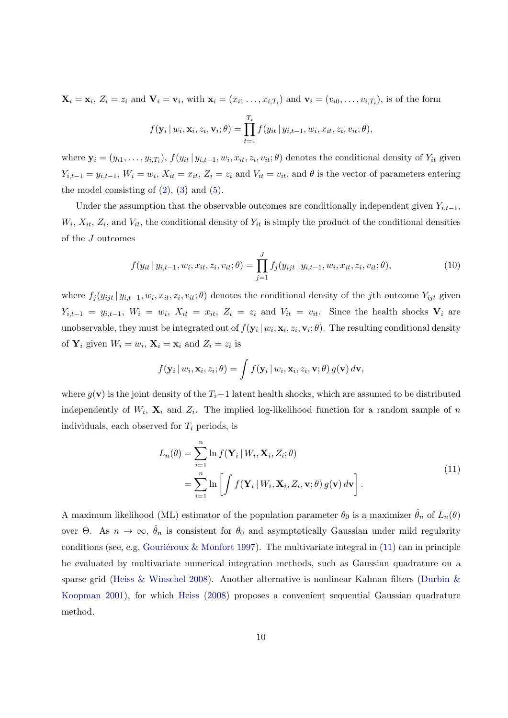$\mathbf{X}_i = \mathbf{x}_i, Z_i = z_i$  and  $\mathbf{V}_i = \mathbf{v}_i$ , with  $\mathbf{x}_i = (x_{i1} \dots, x_{i,T_i})$  and  $\mathbf{v}_i = (v_{i0}, \dots, v_{i,T_i})$ , is of the form

$$
f(\mathbf{y}_i | w_i, \mathbf{x}_i, z_i, \mathbf{v}_i; \theta) = \prod_{t=1}^{T_i} f(y_{it} | y_{i,t-1}, w_i, x_{it}, z_i, v_{it}; \theta),
$$

where  $\mathbf{y}_i = (y_{i1}, \ldots, y_{i,T_i}), f(y_{it} | y_{i,t-1}, w_i, x_{it}, z_i, v_{it}; \theta)$  denotes the conditional density of  $Y_{it}$  given  $Y_{i,t-1} = y_{i,t-1}, W_i = w_i, X_{it} = x_{it}, Z_i = z_i$  and  $V_{it} = v_{it}$ , and  $\theta$  is the vector of parameters entering the model consisting of  $(2)$ ,  $(3)$  and  $(5)$ .

Under the assumption that the observable outcomes are conditionally independent given  $Y_{i,t-1}$ ,  $W_i, X_{it}, Z_i$ , and  $V_{it}$ , the conditional density of  $Y_{it}$  is simply the product of the conditional densities of the J outcomes

$$
f(y_{it} | y_{i,t-1}, w_i, x_{it}, z_i, v_{it}; \theta) = \prod_{j=1}^J f_j(y_{ijt} | y_{i,t-1}, w_i, x_{it}, z_i, v_{it}; \theta),
$$
\n(10)

where  $f_j(y_{ijt} | y_{i,t-1}, w_i, x_{it}, z_i, v_{it}; \theta)$  denotes the conditional density of the jth outcome  $Y_{ijt}$  given  $Y_{i,t-1} = y_{i,t-1}, V_i = w_i, X_{it} = x_{it}, Z_i = z_i$  and  $V_{it} = v_{it}.$  Since the health shocks  $V_i$  are unobservable, they must be integrated out of  $f(\mathbf{y}_i | w_i, \mathbf{x}_i, z_i, \mathbf{v}_i; \theta)$ . The resulting conditional density of  $\mathbf{Y}_i$  given  $W_i = w_i$ ,  $\mathbf{X}_i = \mathbf{x}_i$  and  $Z_i = z_i$  is

$$
f(\mathbf{y}_i | w_i, \mathbf{x}_i, z_i; \theta) = \int f(\mathbf{y}_i | w_i, \mathbf{x}_i, z_i, \mathbf{v}; \theta) g(\mathbf{v}) d\mathbf{v},
$$

where  $g(\mathbf{v})$  is the joint density of the  $T_i+1$  latent health shocks, which are assumed to be distributed independently of  $W_i$ ,  $\mathbf{X}_i$  and  $Z_i$ . The implied log-likelihood function for a random sample of n individuals, each observed for  $T_i$  periods, is

<span id="page-11-0"></span>
$$
L_n(\theta) = \sum_{i=1}^n \ln f(\mathbf{Y}_i | W_i, \mathbf{X}_i, Z_i; \theta)
$$
  
= 
$$
\sum_{i=1}^n \ln \left[ \int f(\mathbf{Y}_i | W_i, \mathbf{X}_i, Z_i, \mathbf{v}; \theta) g(\mathbf{v}) d\mathbf{v} \right].
$$
 (11)

A maximum likelihood (ML) estimator of the population parameter  $\theta_0$  is a maximizer  $\hat{\theta}_n$  of  $L_n(\theta)$ over  $\Theta$ . As  $n \to \infty$ ,  $\hat{\theta}_n$  is consistent for  $\theta_0$  and asymptotically Gaussian under mild regularity conditions (see, e.g, Gouriéroux & Monfort [1997\)](#page-24-8). The multivariate integral in  $(11)$  can in principle be evaluated by multivariate numerical integration methods, such as Gaussian quadrature on a sparse grid [\(Heiss & Winschel](#page-25-9) [2008\)](#page-25-9). Another alternative is nonlinear Kalman filters [\(Durbin &](#page-24-9) [Koopman](#page-24-9) [2001\)](#page-24-9), for which [Heiss](#page-24-7) [\(2008\)](#page-24-7) proposes a convenient sequential Gaussian quadrature method.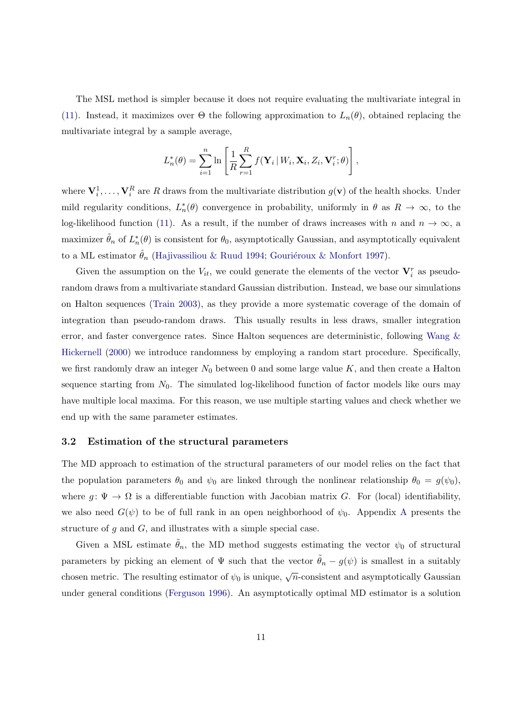The MSL method is simpler because it does not require evaluating the multivariate integral in [\(11\)](#page-11-0). Instead, it maximizes over  $\Theta$  the following approximation to  $L_n(\theta)$ , obtained replacing the multivariate integral by a sample average,

$$
L_n^*(\theta) = \sum_{i=1}^n \ln \left[ \frac{1}{R} \sum_{r=1}^R f(\mathbf{Y}_i \mid W_i, \mathbf{X}_i, Z_i, \mathbf{V}_i^r; \theta) \right],
$$

where  $V_i^1, \ldots, V_i^R$  are R draws from the multivariate distribution  $g(\mathbf{v})$  of the health shocks. Under mild regularity conditions,  $L_n^*(\theta)$  convergence in probability, uniformly in  $\theta$  as  $R \to \infty$ , to the log-likelihood function [\(11\)](#page-11-0). As a result, if the number of draws increases with n and  $n \to \infty$ , a maximizer  $\tilde{\theta}_n$  of  $L_n^*(\theta)$  is consistent for  $\theta_0$ , asymptotically Gaussian, and asymptotically equivalent to a ML estimator  $\hat{\theta}_n$  [\(Hajivassiliou & Ruud](#page-24-10) [1994;](#page-24-10) Gouriéroux & Monfort [1997\)](#page-24-8).

Given the assumption on the  $V_{it}$ , we could generate the elements of the vector  $\mathbf{V}_i^r$  as pseudorandom draws from a multivariate standard Gaussian distribution. Instead, we base our simulations on Halton sequences [\(Train](#page-25-10) [2003\)](#page-25-10), as they provide a more systematic coverage of the domain of integration than pseudo-random draws. This usually results in less draws, smaller integration error, and faster convergence rates. Since Halton sequences are deterministic, following [Wang &](#page-25-11) [Hickernell](#page-25-11) [\(2000\)](#page-25-11) we introduce randomness by employing a random start procedure. Specifically, we first randomly draw an integer  $N_0$  between 0 and some large value K, and then create a Halton sequence starting from  $N_0$ . The simulated log-likelihood function of factor models like ours may have multiple local maxima. For this reason, we use multiple starting values and check whether we end up with the same parameter estimates.

#### 3.2 Estimation of the structural parameters

The MD approach to estimation of the structural parameters of our model relies on the fact that the population parameters  $\theta_0$  and  $\psi_0$  are linked through the nonlinear relationship  $\theta_0 = g(\psi_0)$ , where  $g: \Psi \to \Omega$  is a differentiable function with Jacobian matrix G. For (local) identifiability, we also need  $G(\psi)$  to be of full rank in an open neighborhood of  $\psi_0$ . [A](#page-32-0)ppendix A presents the structure of  $g$  and  $G$ , and illustrates with a simple special case.

Given a MSL estimate  $\tilde{\theta}_n$ , the MD method suggests estimating the vector  $\psi_0$  of structural parameters by picking an element of  $\Psi$  such that the vector  $\tilde{\theta}_n - g(\psi)$  is smallest in a suitably chosen metric. The resulting estimator of  $\psi_0$  is unique,  $\sqrt{n}$ -consistent and asymptotically Gaussian under general conditions [\(Ferguson](#page-24-11) [1996\)](#page-24-11). An asymptotically optimal MD estimator is a solution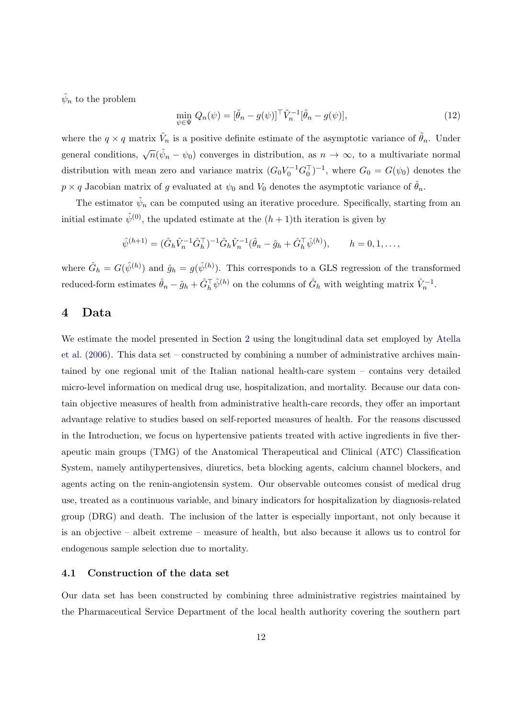$\hat{\psi}_n$  to the problem

$$
\min_{\psi \in \Psi} Q_n(\psi) = [\tilde{\theta}_n - g(\psi)]^\top \tilde{V}_n^{-1} [\tilde{\theta}_n - g(\psi)], \tag{12}
$$

where the  $q \times q$  matrix  $\tilde{V}_n$  is a positive definite estimate of the asymptotic variance of  $\tilde{\theta}_n$ . Under general conditions,  $\sqrt{n}(\hat{\psi}_n - \psi_0)$  converges in distribution, as  $n \to \infty$ , to a multivariate normal distribution with mean zero and variance matrix  $(G_0V_0^{-1}G_0^{\top})^{-1}$ , where  $G_0 = G(\psi_0)$  denotes the  $p \times q$  Jacobian matrix of g evaluated at  $\psi_0$  and  $V_0$  denotes the asymptotic variance of  $\hat{\theta}_n$ .

The estimator  $\hat{\psi}_n$  can be computed using an iterative procedure. Specifically, starting from an initial estimate  $\hat{\psi}^{(0)}$ , the updated estimate at the  $(h+1)$ th iteration is given by

$$
\hat{\psi}^{(h+1)} = (\hat{G}_h \hat{V}_n^{-1} \hat{G}_h^{\top})^{-1} \hat{G}_h \hat{V}_n^{-1} (\hat{\theta}_n - \hat{g}_h + \hat{G}_h^{\top} \hat{\psi}^{(h)}), \qquad h = 0, 1, ...,
$$

where  $\hat{G}_h = G(\hat{\psi}^{(h)})$  and  $\hat{g}_h = g(\hat{\psi}^{(h)})$ . This corresponds to a GLS regression of the transformed reduced-form estimates  $\hat{\theta}_n - \hat{g}_h + \hat{G}_h^{\top} \hat{\psi}^{(h)}$  on the columns of  $\hat{G}_h$  with weighting matrix  $\hat{V}_n^{-1}$ .

## <span id="page-13-0"></span>4 Data

We estimate the model presented in Section [2](#page-4-0) using the longitudinal data set employed by [Atella](#page-23-3) [et al.](#page-23-3) [\(2006\)](#page-23-3). This data set – constructed by combining a number of administrative archives maintained by one regional unit of the Italian national health-care system – contains very detailed micro-level information on medical drug use, hospitalization, and mortality. Because our data contain objective measures of health from administrative health-care records, they offer an important advantage relative to studies based on self-reported measures of health. For the reasons discussed in the Introduction, we focus on hypertensive patients treated with active ingredients in five therapeutic main groups (TMG) of the Anatomical Therapeutical and Clinical (ATC) Classification System, namely antihypertensives, diuretics, beta blocking agents, calcium channel blockers, and agents acting on the renin-angiotensin system. Our observable outcomes consist of medical drug use, treated as a continuous variable, and binary indicators for hospitalization by diagnosis-related group (DRG) and death. The inclusion of the latter is especially important, not only because it is an objective – albeit extreme – measure of health, but also because it allows us to control for endogenous sample selection due to mortality.

#### 4.1 Construction of the data set

Our data set has been constructed by combining three administrative registries maintained by the Pharmaceutical Service Department of the local health authority covering the southern part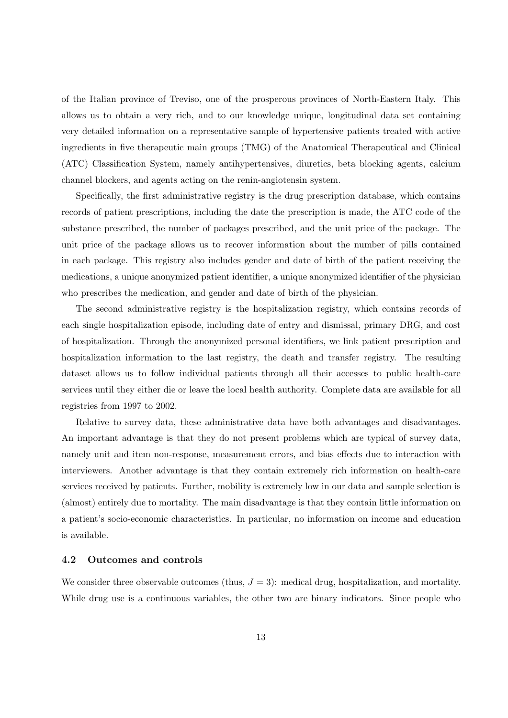of the Italian province of Treviso, one of the prosperous provinces of North-Eastern Italy. This allows us to obtain a very rich, and to our knowledge unique, longitudinal data set containing very detailed information on a representative sample of hypertensive patients treated with active ingredients in five therapeutic main groups (TMG) of the Anatomical Therapeutical and Clinical (ATC) Classification System, namely antihypertensives, diuretics, beta blocking agents, calcium channel blockers, and agents acting on the renin-angiotensin system.

Specifically, the first administrative registry is the drug prescription database, which contains records of patient prescriptions, including the date the prescription is made, the ATC code of the substance prescribed, the number of packages prescribed, and the unit price of the package. The unit price of the package allows us to recover information about the number of pills contained in each package. This registry also includes gender and date of birth of the patient receiving the medications, a unique anonymized patient identifier, a unique anonymized identifier of the physician who prescribes the medication, and gender and date of birth of the physician.

The second administrative registry is the hospitalization registry, which contains records of each single hospitalization episode, including date of entry and dismissal, primary DRG, and cost of hospitalization. Through the anonymized personal identifiers, we link patient prescription and hospitalization information to the last registry, the death and transfer registry. The resulting dataset allows us to follow individual patients through all their accesses to public health-care services until they either die or leave the local health authority. Complete data are available for all registries from 1997 to 2002.

Relative to survey data, these administrative data have both advantages and disadvantages. An important advantage is that they do not present problems which are typical of survey data, namely unit and item non-response, measurement errors, and bias effects due to interaction with interviewers. Another advantage is that they contain extremely rich information on health-care services received by patients. Further, mobility is extremely low in our data and sample selection is (almost) entirely due to mortality. The main disadvantage is that they contain little information on a patient's socio-economic characteristics. In particular, no information on income and education is available.

#### 4.2 Outcomes and controls

We consider three observable outcomes (thus,  $J = 3$ ): medical drug, hospitalization, and mortality. While drug use is a continuous variables, the other two are binary indicators. Since people who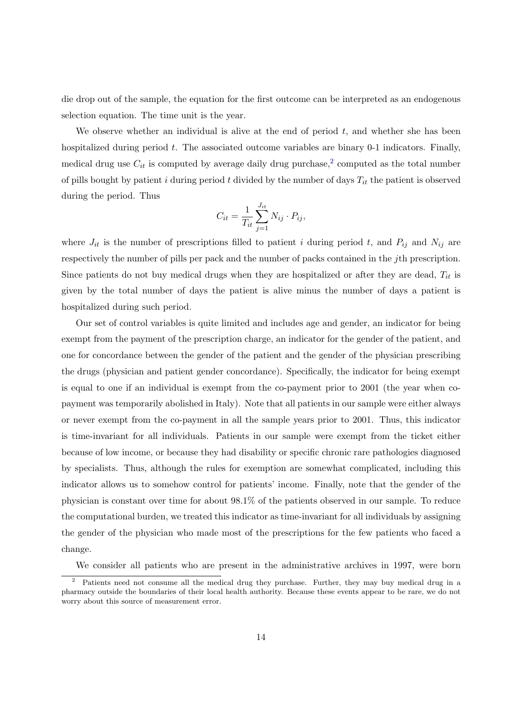die drop out of the sample, the equation for the first outcome can be interpreted as an endogenous selection equation. The time unit is the year.

We observe whether an individual is alive at the end of period  $t$ , and whether she has been hospitalized during period  $t$ . The associated outcome variables are binary 0-1 indicators. Finally, medical drug use  $C_{it}$  is computed by average daily drug purchase,<sup>[2](#page-15-0)</sup> computed as the total number of pills bought by patient i during period t divided by the number of days  $T_{it}$  the patient is observed during the period. Thus

$$
C_{it} = \frac{1}{T_{it}} \sum_{j=1}^{J_{it}} N_{ij} \cdot P_{ij},
$$

where  $J_{it}$  is the number of prescriptions filled to patient i during period t, and  $P_{ij}$  and  $N_{ij}$  are respectively the number of pills per pack and the number of packs contained in the jth prescription. Since patients do not buy medical drugs when they are hospitalized or after they are dead,  $T_{it}$  is given by the total number of days the patient is alive minus the number of days a patient is hospitalized during such period.

Our set of control variables is quite limited and includes age and gender, an indicator for being exempt from the payment of the prescription charge, an indicator for the gender of the patient, and one for concordance between the gender of the patient and the gender of the physician prescribing the drugs (physician and patient gender concordance). Specifically, the indicator for being exempt is equal to one if an individual is exempt from the co-payment prior to 2001 (the year when copayment was temporarily abolished in Italy). Note that all patients in our sample were either always or never exempt from the co-payment in all the sample years prior to 2001. Thus, this indicator is time-invariant for all individuals. Patients in our sample were exempt from the ticket either because of low income, or because they had disability or specific chronic rare pathologies diagnosed by specialists. Thus, although the rules for exemption are somewhat complicated, including this indicator allows us to somehow control for patients' income. Finally, note that the gender of the physician is constant over time for about 98.1% of the patients observed in our sample. To reduce the computational burden, we treated this indicator as time-invariant for all individuals by assigning the gender of the physician who made most of the prescriptions for the few patients who faced a change.

<span id="page-15-0"></span>We consider all patients who are present in the administrative archives in 1997, were born

<sup>&</sup>lt;sup>2</sup> Patients need not consume all the medical drug they purchase. Further, they may buy medical drug in a pharmacy outside the boundaries of their local health authority. Because these events appear to be rare, we do not worry about this source of measurement error.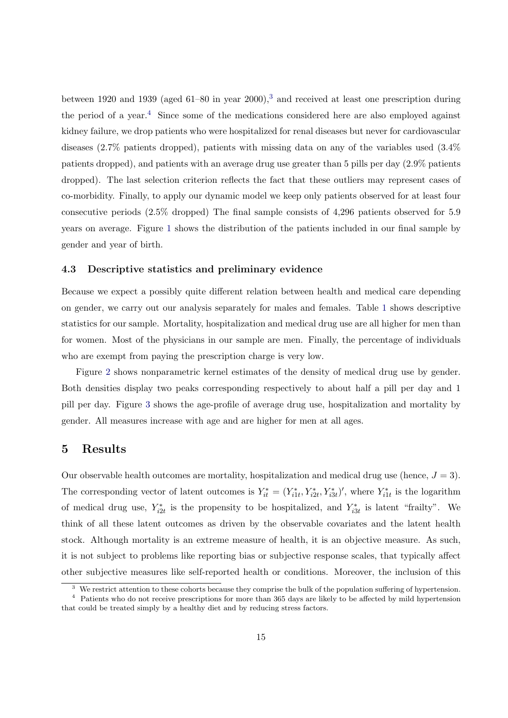between 1920 and 19[3](#page-16-1)9 (aged  $61-80$  in year  $2000$ ),<sup>3</sup> and received at least one prescription during the period of a year.<sup>[4](#page-16-2)</sup> Since some of the medications considered here are also employed against kidney failure, we drop patients who were hospitalized for renal diseases but never for cardiovascular diseases (2.7% patients dropped), patients with missing data on any of the variables used (3.4% patients dropped), and patients with an average drug use greater than 5 pills per day (2.9% patients dropped). The last selection criterion reflects the fact that these outliers may represent cases of co-morbidity. Finally, to apply our dynamic model we keep only patients observed for at least four consecutive periods (2.5% dropped) The final sample consists of 4,296 patients observed for 5.9 years on average. Figure [1](#page-29-0) shows the distribution of the patients included in our final sample by gender and year of birth.

#### 4.3 Descriptive statistics and preliminary evidence

Because we expect a possibly quite different relation between health and medical care depending on gender, we carry out our analysis separately for males and females. Table [1](#page-26-0) shows descriptive statistics for our sample. Mortality, hospitalization and medical drug use are all higher for men than for women. Most of the physicians in our sample are men. Finally, the percentage of individuals who are exempt from paying the prescription charge is very low.

Figure [2](#page-30-0) shows nonparametric kernel estimates of the density of medical drug use by gender. Both densities display two peaks corresponding respectively to about half a pill per day and 1 pill per day. Figure [3](#page-31-0) shows the age-profile of average drug use, hospitalization and mortality by gender. All measures increase with age and are higher for men at all ages.

## <span id="page-16-0"></span>5 Results

Our observable health outcomes are mortality, hospitalization and medical drug use (hence,  $J = 3$ ). The corresponding vector of latent outcomes is  $Y_{it}^* = (Y_{i1t}^*, Y_{i2t}^*, Y_{i3t}^*)'$ , where  $Y_{i1t}^*$  is the logarithm of medical drug use,  $Y_{i2t}^*$  is the propensity to be hospitalized, and  $Y_{i3t}^*$  is latent "frailty". We think of all these latent outcomes as driven by the observable covariates and the latent health stock. Although mortality is an extreme measure of health, it is an objective measure. As such, it is not subject to problems like reporting bias or subjective response scales, that typically affect other subjective measures like self-reported health or conditions. Moreover, the inclusion of this

<span id="page-16-2"></span><span id="page-16-1"></span><sup>&</sup>lt;sup>3</sup> We restrict attention to these cohorts because they comprise the bulk of the population suffering of hypertension. <sup>4</sup> Patients who do not receive prescriptions for more than 365 days are likely to be affected by mild hypertension

that could be treated simply by a healthy diet and by reducing stress factors.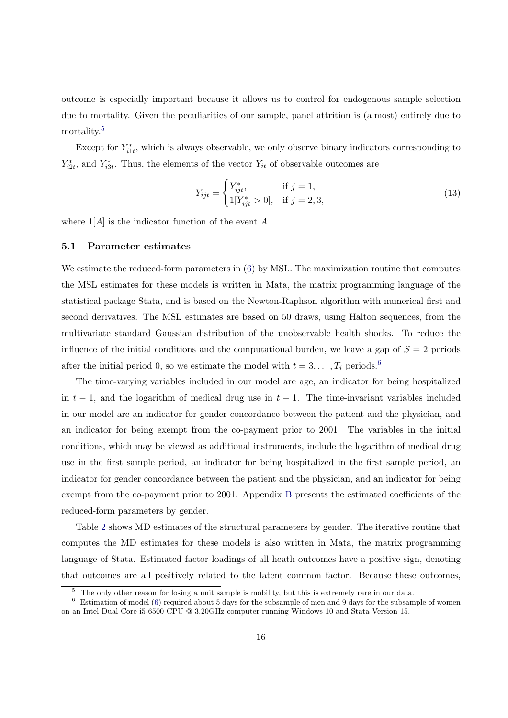outcome is especially important because it allows us to control for endogenous sample selection due to mortality. Given the peculiarities of our sample, panel attrition is (almost) entirely due to mortality.<sup>[5](#page-17-0)</sup>

Except for  $Y_{i1t}^*$ , which is always observable, we only observe binary indicators corresponding to  $Y_{i2t}^*$ , and  $Y_{i3t}^*$ . Thus, the elements of the vector  $Y_{it}$  of observable outcomes are

$$
Y_{ijt} = \begin{cases} Y_{ijt}^*, & \text{if } j = 1, \\ 1[Y_{ijt}^* > 0], & \text{if } j = 2, 3, \end{cases}
$$
 (13)

where  $1[A]$  is the indicator function of the event A.

#### 5.1 Parameter estimates

We estimate the reduced-form parameters in  $(6)$  by MSL. The maximization routine that computes the MSL estimates for these models is written in Mata, the matrix programming language of the statistical package Stata, and is based on the Newton-Raphson algorithm with numerical first and second derivatives. The MSL estimates are based on 50 draws, using Halton sequences, from the multivariate standard Gaussian distribution of the unobservable health shocks. To reduce the influence of the initial conditions and the computational burden, we leave a gap of  $S = 2$  periods after the initial period 0, so we estimate the model with  $t = 3, \ldots, T_i$  periods.<sup>[6](#page-17-1)</sup>

The time-varying variables included in our model are age, an indicator for being hospitalized in  $t-1$ , and the logarithm of medical drug use in  $t-1$ . The time-invariant variables included in our model are an indicator for gender concordance between the patient and the physician, and an indicator for being exempt from the co-payment prior to 2001. The variables in the initial conditions, which may be viewed as additional instruments, include the logarithm of medical drug use in the first sample period, an indicator for being hospitalized in the first sample period, an indicator for gender concordance between the patient and the physician, and an indicator for being exempt from the co-payment prior to 2001. Appendix [B](#page-34-0) presents the estimated coefficients of the reduced-form parameters by gender.

Table [2](#page-27-0) shows MD estimates of the structural parameters by gender. The iterative routine that computes the MD estimates for these models is also written in Mata, the matrix programming language of Stata. Estimated factor loadings of all heath outcomes have a positive sign, denoting that outcomes are all positively related to the latent common factor. Because these outcomes,

<span id="page-17-1"></span><span id="page-17-0"></span><sup>&</sup>lt;sup>5</sup> The only other reason for losing a unit sample is mobility, but this is extremely rare in our data.

 $6$  Estimation of model [\(6\)](#page-6-2) required about 5 days for the subsample of men and 9 days for the subsample of women on an Intel Dual Core i5-6500 CPU @ 3.20GHz computer running Windows 10 and Stata Version 15.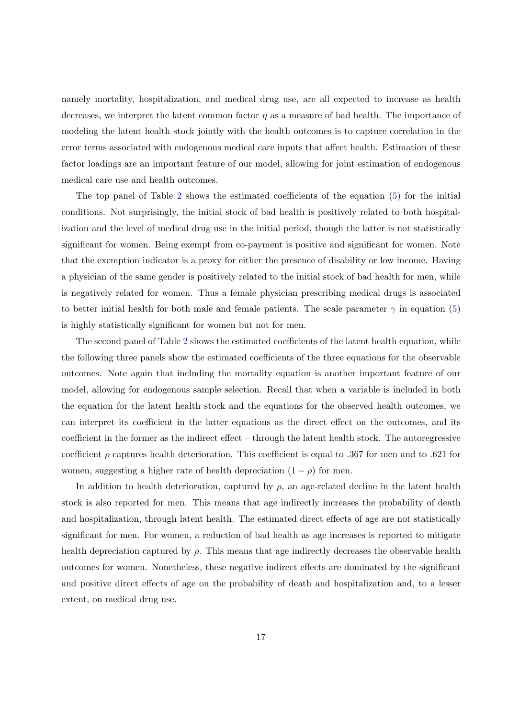namely mortality, hospitalization, and medical drug use, are all expected to increase as health decreases, we interpret the latent common factor  $\eta$  as a measure of bad health. The importance of modeling the latent health stock jointly with the health outcomes is to capture correlation in the error terms associated with endogenous medical care inputs that affect health. Estimation of these factor loadings are an important feature of our model, allowing for joint estimation of endogenous medical care use and health outcomes.

The top panel of Table [2](#page-27-0) shows the estimated coefficients of the equation [\(5\)](#page-6-1) for the initial conditions. Not surprisingly, the initial stock of bad health is positively related to both hospitalization and the level of medical drug use in the initial period, though the latter is not statistically significant for women. Being exempt from co-payment is positive and significant for women. Note that the exemption indicator is a proxy for either the presence of disability or low income. Having a physician of the same gender is positively related to the initial stock of bad health for men, while is negatively related for women. Thus a female physician prescribing medical drugs is associated to better initial health for both male and female patients. The scale parameter  $\gamma$  in equation [\(5\)](#page-6-1) is highly statistically significant for women but not for men.

The second panel of Table [2](#page-27-0) shows the estimated coefficients of the latent health equation, while the following three panels show the estimated coefficients of the three equations for the observable outcomes. Note again that including the mortality equation is another important feature of our model, allowing for endogenous sample selection. Recall that when a variable is included in both the equation for the latent health stock and the equations for the observed health outcomes, we can interpret its coefficient in the latter equations as the direct effect on the outcomes, and its coefficient in the former as the indirect effect – through the latent health stock. The autoregressive coefficient  $\rho$  captures health deterioration. This coefficient is equal to .367 for men and to .621 for women, suggesting a higher rate of health depreciation  $(1 - \rho)$  for men.

In addition to health deterioration, captured by  $\rho$ , an age-related decline in the latent health stock is also reported for men. This means that age indirectly increases the probability of death and hospitalization, through latent health. The estimated direct effects of age are not statistically significant for men. For women, a reduction of bad health as age increases is reported to mitigate health depreciation captured by  $\rho$ . This means that age indirectly decreases the observable health outcomes for women. Nonetheless, these negative indirect effects are dominated by the significant and positive direct effects of age on the probability of death and hospitalization and, to a lesser extent, on medical drug use.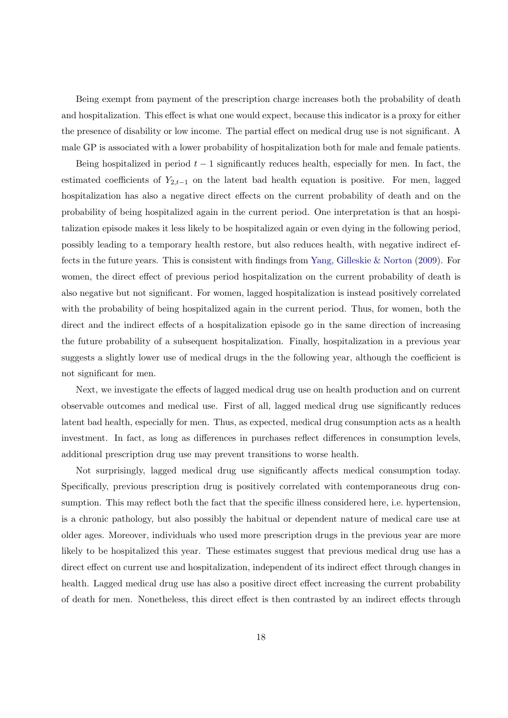Being exempt from payment of the prescription charge increases both the probability of death and hospitalization. This effect is what one would expect, because this indicator is a proxy for either the presence of disability or low income. The partial effect on medical drug use is not significant. A male GP is associated with a lower probability of hospitalization both for male and female patients.

Being hospitalized in period  $t - 1$  significantly reduces health, especially for men. In fact, the estimated coefficients of  $Y_{2,t-1}$  on the latent bad health equation is positive. For men, lagged hospitalization has also a negative direct effects on the current probability of death and on the probability of being hospitalized again in the current period. One interpretation is that an hospitalization episode makes it less likely to be hospitalized again or even dying in the following period, possibly leading to a temporary health restore, but also reduces health, with negative indirect effects in the future years. This is consistent with findings from [Yang, Gilleskie & Norton](#page-25-12) [\(2009\)](#page-25-12). For women, the direct effect of previous period hospitalization on the current probability of death is also negative but not significant. For women, lagged hospitalization is instead positively correlated with the probability of being hospitalized again in the current period. Thus, for women, both the direct and the indirect effects of a hospitalization episode go in the same direction of increasing the future probability of a subsequent hospitalization. Finally, hospitalization in a previous year suggests a slightly lower use of medical drugs in the the following year, although the coefficient is not significant for men.

Next, we investigate the effects of lagged medical drug use on health production and on current observable outcomes and medical use. First of all, lagged medical drug use significantly reduces latent bad health, especially for men. Thus, as expected, medical drug consumption acts as a health investment. In fact, as long as differences in purchases reflect differences in consumption levels, additional prescription drug use may prevent transitions to worse health.

Not surprisingly, lagged medical drug use significantly affects medical consumption today. Specifically, previous prescription drug is positively correlated with contemporaneous drug consumption. This may reflect both the fact that the specific illness considered here, i.e. hypertension, is a chronic pathology, but also possibly the habitual or dependent nature of medical care use at older ages. Moreover, individuals who used more prescription drugs in the previous year are more likely to be hospitalized this year. These estimates suggest that previous medical drug use has a direct effect on current use and hospitalization, independent of its indirect effect through changes in health. Lagged medical drug use has also a positive direct effect increasing the current probability of death for men. Nonetheless, this direct effect is then contrasted by an indirect effects through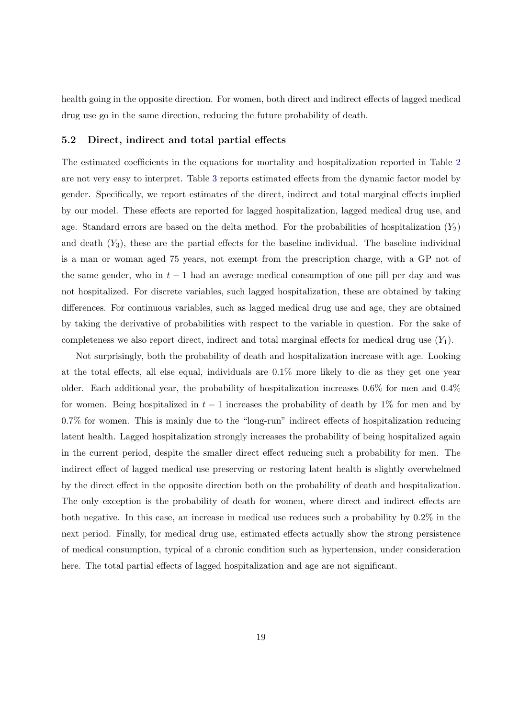health going in the opposite direction. For women, both direct and indirect effects of lagged medical drug use go in the same direction, reducing the future probability of death.

#### 5.2 Direct, indirect and total partial effects

The estimated coefficients in the equations for mortality and hospitalization reported in Table [2](#page-27-0) are not very easy to interpret. Table [3](#page-28-0) reports estimated effects from the dynamic factor model by gender. Specifically, we report estimates of the direct, indirect and total marginal effects implied by our model. These effects are reported for lagged hospitalization, lagged medical drug use, and age. Standard errors are based on the delta method. For the probabilities of hospitalization  $(Y_2)$ and death  $(Y_3)$ , these are the partial effects for the baseline individual. The baseline individual is a man or woman aged 75 years, not exempt from the prescription charge, with a GP not of the same gender, who in  $t - 1$  had an average medical consumption of one pill per day and was not hospitalized. For discrete variables, such lagged hospitalization, these are obtained by taking differences. For continuous variables, such as lagged medical drug use and age, they are obtained by taking the derivative of probabilities with respect to the variable in question. For the sake of completeness we also report direct, indirect and total marginal effects for medical drug use  $(Y_1)$ .

Not surprisingly, both the probability of death and hospitalization increase with age. Looking at the total effects, all else equal, individuals are 0.1% more likely to die as they get one year older. Each additional year, the probability of hospitalization increases 0.6% for men and 0.4% for women. Being hospitalized in  $t-1$  increases the probability of death by 1% for men and by 0.7% for women. This is mainly due to the "long-run" indirect effects of hospitalization reducing latent health. Lagged hospitalization strongly increases the probability of being hospitalized again in the current period, despite the smaller direct effect reducing such a probability for men. The indirect effect of lagged medical use preserving or restoring latent health is slightly overwhelmed by the direct effect in the opposite direction both on the probability of death and hospitalization. The only exception is the probability of death for women, where direct and indirect effects are both negative. In this case, an increase in medical use reduces such a probability by 0.2% in the next period. Finally, for medical drug use, estimated effects actually show the strong persistence of medical consumption, typical of a chronic condition such as hypertension, under consideration here. The total partial effects of lagged hospitalization and age are not significant.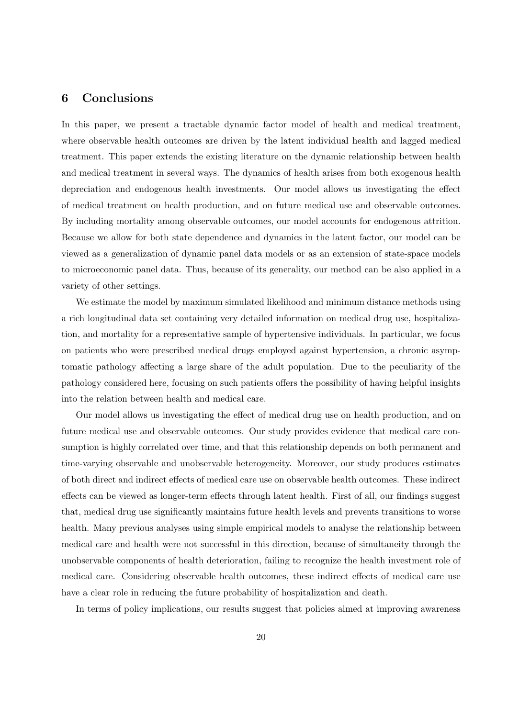## <span id="page-21-0"></span>6 Conclusions

In this paper, we present a tractable dynamic factor model of health and medical treatment, where observable health outcomes are driven by the latent individual health and lagged medical treatment. This paper extends the existing literature on the dynamic relationship between health and medical treatment in several ways. The dynamics of health arises from both exogenous health depreciation and endogenous health investments. Our model allows us investigating the effect of medical treatment on health production, and on future medical use and observable outcomes. By including mortality among observable outcomes, our model accounts for endogenous attrition. Because we allow for both state dependence and dynamics in the latent factor, our model can be viewed as a generalization of dynamic panel data models or as an extension of state-space models to microeconomic panel data. Thus, because of its generality, our method can be also applied in a variety of other settings.

We estimate the model by maximum simulated likelihood and minimum distance methods using a rich longitudinal data set containing very detailed information on medical drug use, hospitalization, and mortality for a representative sample of hypertensive individuals. In particular, we focus on patients who were prescribed medical drugs employed against hypertension, a chronic asymptomatic pathology affecting a large share of the adult population. Due to the peculiarity of the pathology considered here, focusing on such patients offers the possibility of having helpful insights into the relation between health and medical care.

Our model allows us investigating the effect of medical drug use on health production, and on future medical use and observable outcomes. Our study provides evidence that medical care consumption is highly correlated over time, and that this relationship depends on both permanent and time-varying observable and unobservable heterogeneity. Moreover, our study produces estimates of both direct and indirect effects of medical care use on observable health outcomes. These indirect effects can be viewed as longer-term effects through latent health. First of all, our findings suggest that, medical drug use significantly maintains future health levels and prevents transitions to worse health. Many previous analyses using simple empirical models to analyse the relationship between medical care and health were not successful in this direction, because of simultaneity through the unobservable components of health deterioration, failing to recognize the health investment role of medical care. Considering observable health outcomes, these indirect effects of medical care use have a clear role in reducing the future probability of hospitalization and death.

In terms of policy implications, our results suggest that policies aimed at improving awareness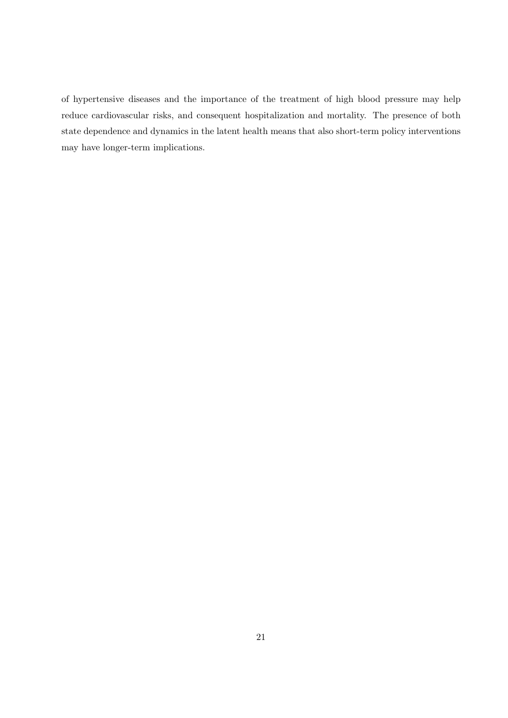of hypertensive diseases and the importance of the treatment of high blood pressure may help reduce cardiovascular risks, and consequent hospitalization and mortality. The presence of both state dependence and dynamics in the latent health means that also short-term policy interventions may have longer-term implications.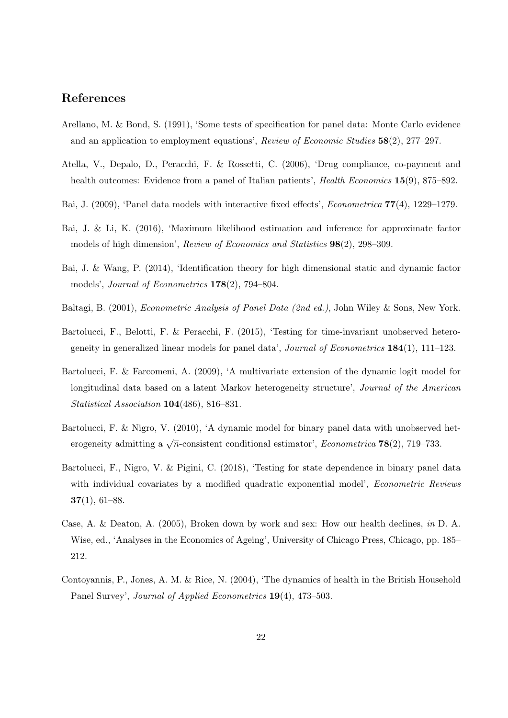## References

- <span id="page-23-7"></span>Arellano, M. & Bond, S. (1991), 'Some tests of specification for panel data: Monte Carlo evidence and an application to employment equations', Review of Economic Studies 58(2), 277–297.
- <span id="page-23-3"></span>Atella, V., Depalo, D., Peracchi, F. & Rossetti, C. (2006), 'Drug compliance, co-payment and health outcomes: Evidence from a panel of Italian patients', *Health Economics* 15(9), 875–892.
- <span id="page-23-10"></span>Bai, J. (2009), 'Panel data models with interactive fixed effects', Econometrica 77(4), 1229–1279.
- <span id="page-23-2"></span>Bai, J. & Li, K. (2016), 'Maximum likelihood estimation and inference for approximate factor models of high dimension', Review of Economics and Statistics 98(2), 298–309.
- <span id="page-23-1"></span>Bai, J. & Wang, P. (2014), 'Identification theory for high dimensional static and dynamic factor models', Journal of Econometrics 178(2), 794–804.
- <span id="page-23-4"></span>Baltagi, B. (2001), Econometric Analysis of Panel Data (2nd ed.), John Wiley & Sons, New York.
- <span id="page-23-11"></span>Bartolucci, F., Belotti, F. & Peracchi, F. (2015), 'Testing for time-invariant unobserved heterogeneity in generalized linear models for panel data', Journal of Econometrics  $184(1)$ ,  $111-123$ .
- <span id="page-23-9"></span>Bartolucci, F. & Farcomeni, A. (2009), 'A multivariate extension of the dynamic logit model for longitudinal data based on a latent Markov heterogeneity structure', *Journal of the American* Statistical Association 104(486), 816–831.
- <span id="page-23-5"></span>Bartolucci, F. & Nigro, V. (2010), 'A dynamic model for binary panel data with unobserved heterogeneity admitting a  $\sqrt{n}$ -consistent conditional estimator', *Econometrica* **78**(2), 719–733.
- <span id="page-23-6"></span>Bartolucci, F., Nigro, V. & Pigini, C. (2018), 'Testing for state dependence in binary panel data with individual covariates by a modified quadratic exponential model', *Econometric Reviews*  $37(1), 61-88.$
- <span id="page-23-0"></span>Case, A. & Deaton, A. (2005), Broken down by work and sex: How our health declines, in D. A. Wise, ed., 'Analyses in the Economics of Ageing', University of Chicago Press, Chicago, pp. 185– 212.
- <span id="page-23-8"></span>Contoyannis, P., Jones, A. M. & Rice, N. (2004), 'The dynamics of health in the British Household Panel Survey', Journal of Applied Econometrics 19(4), 473–503.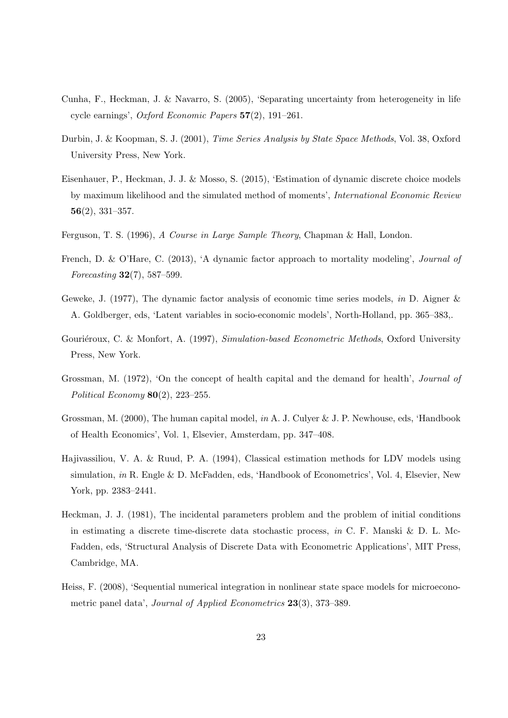- <span id="page-24-5"></span>Cunha, F., Heckman, J. & Navarro, S. (2005), 'Separating uncertainty from heterogeneity in life cycle earnings', Oxford Economic Papers 57(2), 191–261.
- <span id="page-24-9"></span>Durbin, J. & Koopman, S. J. (2001), Time Series Analysis by State Space Methods, Vol. 38, Oxford University Press, New York.
- <span id="page-24-6"></span>Eisenhauer, P., Heckman, J. J. & Mosso, S. (2015), 'Estimation of dynamic discrete choice models by maximum likelihood and the simulated method of moments', International Economic Review 56(2), 331–357.
- <span id="page-24-11"></span>Ferguson, T. S. (1996), A Course in Large Sample Theory, Chapman & Hall, London.
- <span id="page-24-3"></span>French, D. & O'Hare, C. (2013), 'A dynamic factor approach to mortality modeling', Journal of Forecasting 32(7), 587–599.
- <span id="page-24-2"></span>Geweke, J. (1977), The dynamic factor analysis of economic time series models, in D. Aigner  $\&$ A. Goldberger, eds, 'Latent variables in socio-economic models', North-Holland, pp. 365–383,.
- <span id="page-24-8"></span>Gouriéroux, C. & Monfort, A. (1997), Simulation-based Econometric Methods, Oxford University Press, New York.
- <span id="page-24-0"></span>Grossman, M. (1972), 'On the concept of health capital and the demand for health', Journal of Political Economy  $80(2)$ , 223-255.
- <span id="page-24-1"></span>Grossman, M. (2000), The human capital model, in A. J. Culyer & J. P. Newhouse, eds, 'Handbook of Health Economics', Vol. 1, Elsevier, Amsterdam, pp. 347–408.
- <span id="page-24-10"></span>Hajivassiliou, V. A. & Ruud, P. A. (1994), Classical estimation methods for LDV models using simulation, in R. Engle & D. McFadden, eds, 'Handbook of Econometrics', Vol. 4, Elsevier, New York, pp. 2383–2441.
- <span id="page-24-4"></span>Heckman, J. J. (1981), The incidental parameters problem and the problem of initial conditions in estimating a discrete time-discrete data stochastic process, in C. F. Manski & D. L. Mc-Fadden, eds, 'Structural Analysis of Discrete Data with Econometric Applications', MIT Press, Cambridge, MA.
- <span id="page-24-7"></span>Heiss, F. (2008), 'Sequential numerical integration in nonlinear state space models for microeconometric panel data', Journal of Applied Econometrics 23(3), 373–389.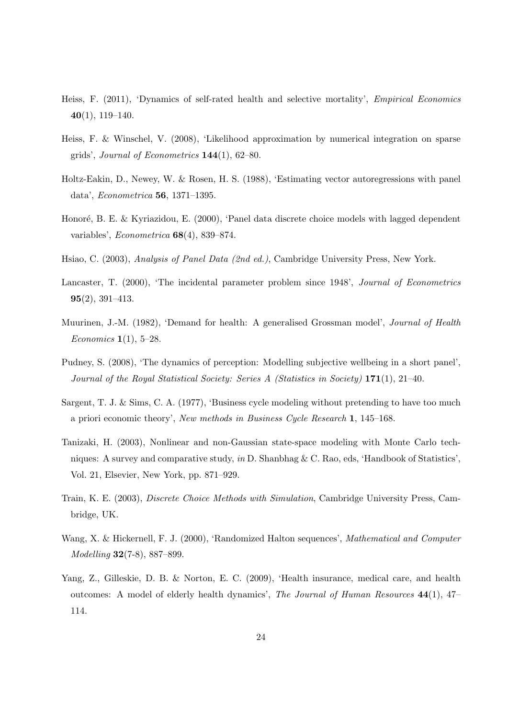- <span id="page-25-8"></span>Heiss, F. (2011), 'Dynamics of self-rated health and selective mortality', Empirical Economics  $40(1)$ , 119–140.
- <span id="page-25-9"></span>Heiss, F. & Winschel, V. (2008), 'Likelihood approximation by numerical integration on sparse grids', Journal of Econometrics  $144(1)$ , 62–80.
- <span id="page-25-5"></span>Holtz-Eakin, D., Newey, W. & Rosen, H. S. (1988), 'Estimating vector autoregressions with panel data', Econometrica 56, 1371–1395.
- <span id="page-25-4"></span>Honoré, B. E. & Kyriazidou, E. (2000), 'Panel data discrete choice models with lagged dependent variables', Econometrica 68(4), 839–874.
- <span id="page-25-2"></span>Hsiao, C. (2003), Analysis of Panel Data (2nd ed.), Cambridge University Press, New York.
- <span id="page-25-3"></span>Lancaster, T. (2000), 'The incidental parameter problem since 1948', Journal of Econometrics 95(2), 391–413.
- <span id="page-25-0"></span>Muurinen, J.-M. (1982), 'Demand for health: A generalised Grossman model', Journal of Health *Economics*  $1(1), 5-28.$
- <span id="page-25-6"></span>Pudney, S. (2008), 'The dynamics of perception: Modelling subjective wellbeing in a short panel', Journal of the Royal Statistical Society: Series A (Statistics in Society) 171(1), 21–40.
- <span id="page-25-1"></span>Sargent, T. J. & Sims, C. A. (1977), 'Business cycle modeling without pretending to have too much a priori economic theory', New methods in Business Cycle Research 1, 145–168.
- <span id="page-25-7"></span>Tanizaki, H. (2003), Nonlinear and non-Gaussian state-space modeling with Monte Carlo techniques: A survey and comparative study, in D. Shanbhag & C. Rao, eds, 'Handbook of Statistics', Vol. 21, Elsevier, New York, pp. 871–929.
- <span id="page-25-10"></span>Train, K. E. (2003), Discrete Choice Methods with Simulation, Cambridge University Press, Cambridge, UK.
- <span id="page-25-11"></span>Wang, X. & Hickernell, F. J. (2000), 'Randomized Halton sequences', *Mathematical and Computer* Modelling 32(7-8), 887–899.
- <span id="page-25-12"></span>Yang, Z., Gilleskie, D. B. & Norton, E. C. (2009), 'Health insurance, medical care, and health outcomes: A model of elderly health dynamics', The Journal of Human Resources 44(1), 47– 114.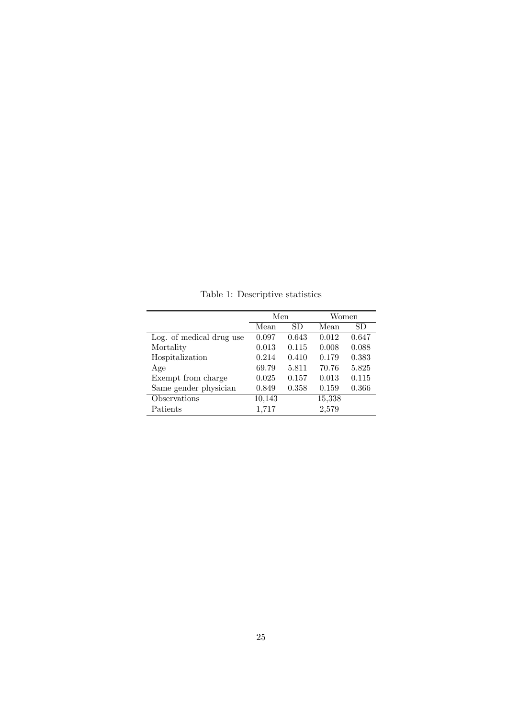|                          | Men    |       | Women  |       |
|--------------------------|--------|-------|--------|-------|
|                          | Mean   | SD    | Mean   | SD    |
| Log. of medical drug use | 0.097  | 0.643 | 0.012  | 0.647 |
| Mortality                | 0.013  | 0.115 | 0.008  | 0.088 |
| Hospitalization          | 0.214  | 0.410 | 0.179  | 0.383 |
| Age                      | 69.79  | 5.811 | 70.76  | 5.825 |
| Exempt from charge       | 0.025  | 0.157 | 0.013  | 0.115 |
| Same gender physician    | 0.849  | 0.358 | 0.159  | 0.366 |
| Observations             | 10,143 |       | 15,338 |       |
| Patients                 | 1,717  |       | 2,579  |       |

<span id="page-26-0"></span>Table 1: Descriptive statistics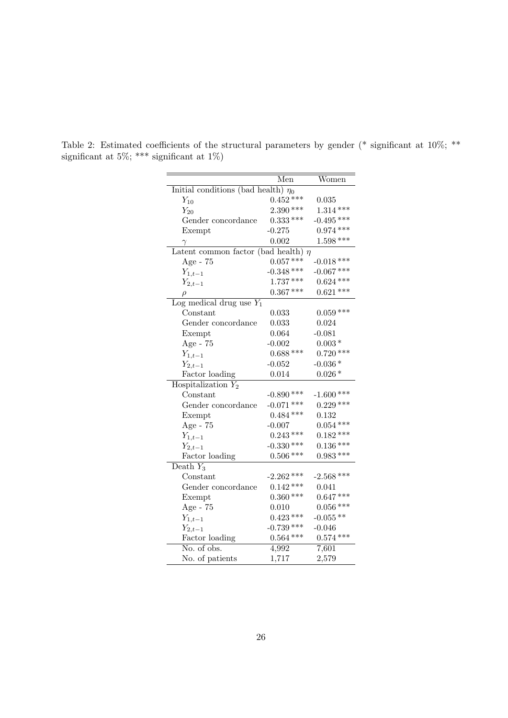|                                          | $\bar{\text{Men}}$ | Women        |  |  |  |  |  |
|------------------------------------------|--------------------|--------------|--|--|--|--|--|
| Initial conditions (bad health) $\eta_0$ |                    |              |  |  |  |  |  |
| $Y_{10}$                                 | $0.452***$         | 0.035        |  |  |  |  |  |
| $Y_{20}$                                 | $2.390***$         | $1.314***$   |  |  |  |  |  |
| Gender concordance                       | $0.333***$         | $-0.495$ *** |  |  |  |  |  |
| Exempt                                   | $-0.275$           | $0.974$ ***  |  |  |  |  |  |
| $\gamma$                                 | 0.002              | $1.598***$   |  |  |  |  |  |
| Latent common factor (bad health) $\eta$ |                    |              |  |  |  |  |  |
| Age - 75                                 | $0.057***$         | $-0.018$ *** |  |  |  |  |  |
| $Y_{1,t-1}$                              | $-0.348$ ***       | $-0.067$ *** |  |  |  |  |  |
| $Y_{2,t-1}$                              | $1.737***$         | $0.624$ ***  |  |  |  |  |  |
| $\rho$                                   | $0.367***$         | $0.621***$   |  |  |  |  |  |
| Log medical drug use $Y_1$               |                    |              |  |  |  |  |  |
| Constant                                 | 0.033              | $0.059***$   |  |  |  |  |  |
| Gender concordance                       | 0.033              | 0.024        |  |  |  |  |  |
| Exempt                                   | 0.064              | $-0.081$     |  |  |  |  |  |
| Age - 75                                 | $-0.002$           | $0.003*$     |  |  |  |  |  |
| $Y_{1,t-1}$                              | $0.688***$         | $0.720***$   |  |  |  |  |  |
| $Y_{2,t-1}$                              | $-0.052$           | $-0.036*$    |  |  |  |  |  |
| Factor loading                           | 0.014              | $0.026*$     |  |  |  |  |  |
| Hospitalization $Y_2$                    |                    |              |  |  |  |  |  |
| Constant                                 | $-0.890$ ***       | $-1.600$ *** |  |  |  |  |  |
| Gender concordance                       | $-0.071$ ***       | $0.229***$   |  |  |  |  |  |
| Exempt                                   | $0.484***$         | 0.132        |  |  |  |  |  |
| Age - $75$                               | $-0.007$           | $0.054***$   |  |  |  |  |  |
| $Y_{1,t-1}$                              | $0.243***$         | $0.182***$   |  |  |  |  |  |
| $Y_{2,t-1}$                              | $-0.330$ ***       | $0.136***$   |  |  |  |  |  |
| Factor loading                           | $0.506$ ***        | $0.983***$   |  |  |  |  |  |
| Death $Y_3$                              |                    |              |  |  |  |  |  |
| Constant                                 | $-2.262$ ***       | $-2.568$ *** |  |  |  |  |  |
| Gender concordance                       | $0.142***$         | 0.041        |  |  |  |  |  |
| Exempt                                   | $0.360$ ***        | $0.647***$   |  |  |  |  |  |
| Age - 75                                 | 0.010              | $0.056$ ***  |  |  |  |  |  |
| $Y_{1,t-1}$                              | $0.423$ ***        | $-0.055**$   |  |  |  |  |  |
| $Y_{2,t-1}$                              | $-0.739$ ***       | $-0.046$     |  |  |  |  |  |
| Factor loading                           | $0.564***$         | $0.574$ ***  |  |  |  |  |  |
| No. of obs.                              | 4,992              | 7,601        |  |  |  |  |  |
| No. of patients                          | 1,717              | 2,579        |  |  |  |  |  |

<span id="page-27-0"></span>Table 2: Estimated coefficients of the structural parameters by gender (\* significant at 10%; \*\* significant at 5%; \*\*\* significant at 1%)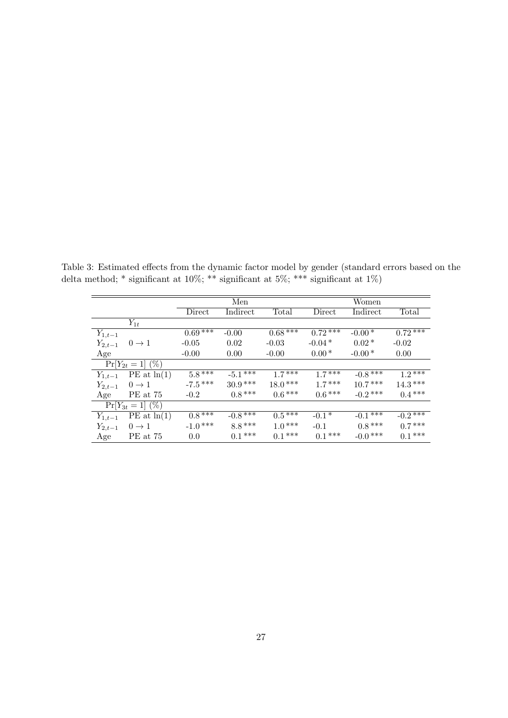<span id="page-28-0"></span>

|             |                      | Men       |            |           | Women     |            |            |
|-------------|----------------------|-----------|------------|-----------|-----------|------------|------------|
|             |                      | Direct    | Indirect   | Total     | Direct    | Indirect   | Total      |
|             | $Y_{1t}$             |           |            |           |           |            |            |
| $Y_{1,t-1}$ |                      | $0.69***$ | $-0.00$    | $0.68***$ | $0.72***$ | $-0.00*$   | $0.72***$  |
| $Y_{2,t-1}$ | $0 \rightarrow 1$    | $-0.05$   | 0.02       | $-0.03$   | $-0.04*$  | $0.02*$    | $-0.02$    |
| Age         |                      | $-0.00$   | 0.00       | $-0.00$   | $0.00*$   | $-0.00*$   | 0.00       |
|             | $Pr[Y_{2t} = 1]$ (%) |           |            |           |           |            |            |
| $Y_{1,t-1}$ | PE at ln(1)          | $5.8***$  | $-5.1***$  | $1.7***$  | $17***$   | $-0.8$ *** | $1.2***$   |
| $Y_{2,t-1}$ | $0 \rightarrow 1$    | $-7.5***$ | $30.9***$  | $18.0***$ | $17***$   | $10.7***$  | $14.3***$  |
| Age         | PE at 75             | $-0.2$    | $0.8***$   | $0.6***$  | $0.6***$  | $-0.2$ *** | $0.4***$   |
|             | $Pr[Y_{3t} = 1]$ (%) |           |            |           |           |            |            |
| $Y_{1,t-1}$ | PE at ln(1)          | $0.8***$  | $-0.8$ *** | $0.5***$  | $-0.1*$   | $-0.1$ *** | $-0.2$ *** |
| $Y_{2,t-1}$ | $0 \rightarrow 1$    | $-1.0***$ | $8.8***$   | $1.0***$  | $-0.1$    | $0.8***$   | $0.7***$   |
| Age         | PE at 75             | 0.0       | $0.1***$   | $0.1***$  | $0.1***$  | $-0.0$ *** | $0.1***$   |

Table 3: Estimated effects from the dynamic factor model by gender (standard errors based on the delta method; \* significant at 10%; \*\* significant at 5%; \*\*\* significant at 1%)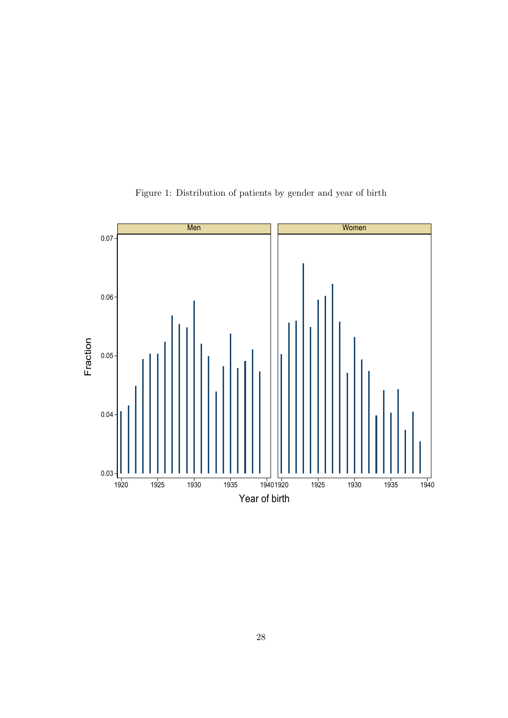

<span id="page-29-0"></span>Figure 1: Distribution of patients by gender and year of birth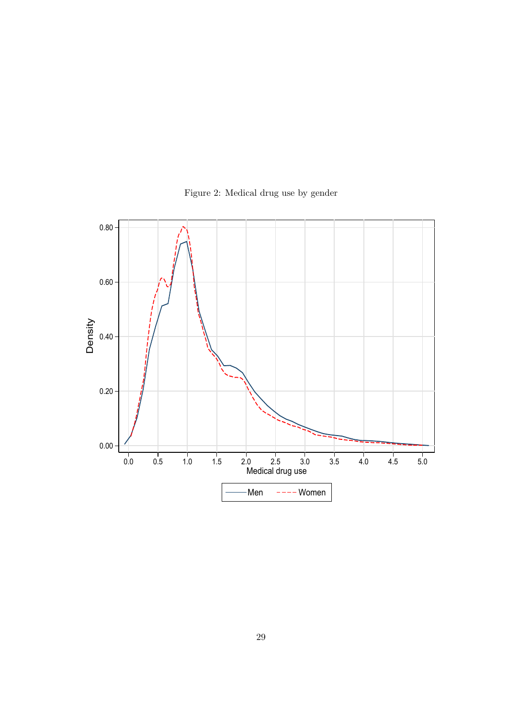

<span id="page-30-0"></span>Figure 2: Medical drug use by gender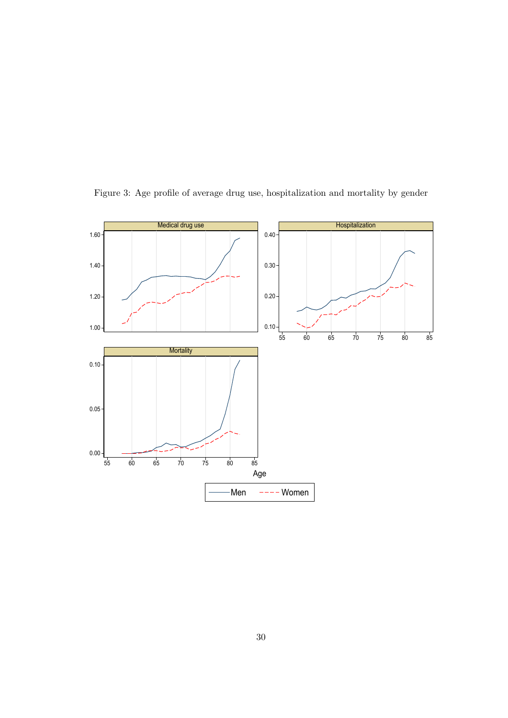

<span id="page-31-0"></span>Figure 3: Age profile of average drug use, hospitalization and mortality by gender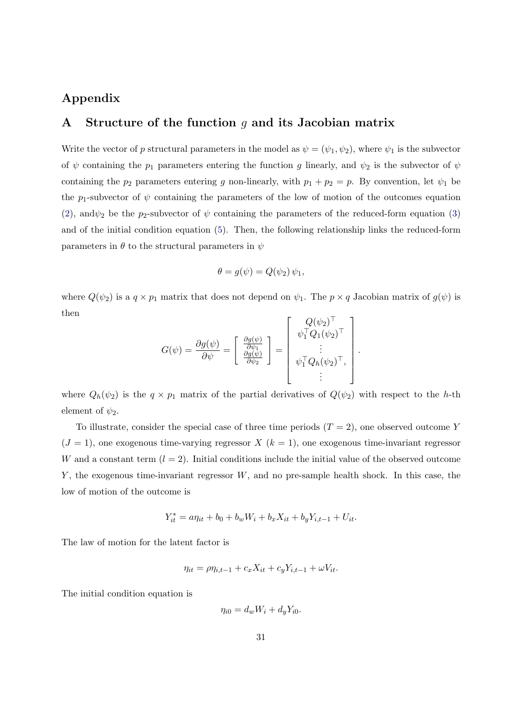## Appendix

## <span id="page-32-0"></span>A Structure of the function  $q$  and its Jacobian matrix

Write the vector of p structural parameters in the model as  $\psi = (\psi_1, \psi_2)$ , where  $\psi_1$  is the subvector of  $\psi$  containing the  $p_1$  parameters entering the function g linearly, and  $\psi_2$  is the subvector of  $\psi$ containing the  $p_2$  parameters entering g non-linearly, with  $p_1 + p_2 = p$ . By convention, let  $\psi_1$  be the p<sub>1</sub>-subvector of  $\psi$  containing the parameters of the low of motion of the outcomes equation [\(2\)](#page-5-1), and  $\psi_2$  be the p<sub>2</sub>-subvector of  $\psi$  containing the parameters of the reduced-form equation [\(3\)](#page-5-2) and of the initial condition equation [\(5\)](#page-6-1). Then, the following relationship links the reduced-form parameters in  $\theta$  to the structural parameters in  $\psi$ 

$$
\theta = g(\psi) = Q(\psi_2) \psi_1,
$$

where  $Q(\psi_2)$  is a  $q \times p_1$  matrix that does not depend on  $\psi_1$ . The  $p \times q$  Jacobian matrix of  $g(\psi)$  is then

$$
G(\psi) = \frac{\partial g(\psi)}{\partial \psi} = \begin{bmatrix} \frac{\partial g(\psi)}{\partial \psi_1} \\ \frac{\partial g(\psi)}{\partial \psi_2} \end{bmatrix} = \begin{bmatrix} Q(\psi_2)^{\top} \\ \psi_1^{\top} Q_1(\psi_2)^{\top} \\ \vdots \\ \psi_1^{\top} Q_h(\psi_2)^{\top}, \\ \vdots \end{bmatrix}
$$

.

where  $Q_h(\psi_2)$  is the  $q \times p_1$  matrix of the partial derivatives of  $Q(\psi_2)$  with respect to the h-th element of  $\psi_2$ .

To illustrate, consider the special case of three time periods  $(T = 2)$ , one observed outcome Y  $(J = 1)$ , one exogenous time-varying regressor X  $(k = 1)$ , one exogenous time-invariant regressor W and a constant term  $(l = 2)$ . Initial conditions include the initial value of the observed outcome  $Y$ , the exogenous time-invariant regressor  $W$ , and no pre-sample health shock. In this case, the low of motion of the outcome is

$$
Y_{it}^* = a\eta_{it} + b_0 + b_w W_i + b_x X_{it} + b_y Y_{i,t-1} + U_{it}.
$$

The law of motion for the latent factor is

$$
\eta_{it} = \rho \eta_{i,t-1} + c_x X_{it} + c_y Y_{i,t-1} + \omega V_{it}.
$$

The initial condition equation is

$$
\eta_{i0} = d_w W_i + d_y Y_{i0}.
$$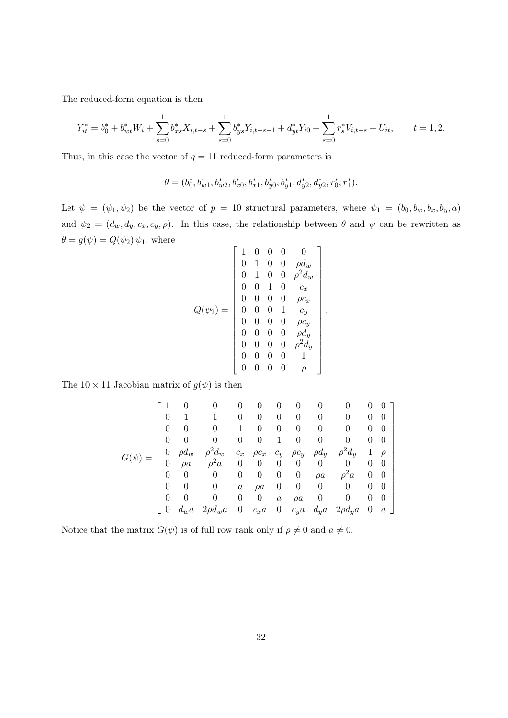The reduced-form equation is then

$$
Y_{it}^* = b_0^* + b_{wt}^* W_i + \sum_{s=0}^1 b_{xs}^* X_{i,t-s} + \sum_{s=0}^1 b_{ys}^* Y_{i,t-s-1} + d_{yt}^* Y_{i0} + \sum_{s=0}^1 r_s^* V_{i,t-s} + U_{it}, \qquad t = 1, 2.
$$

Thus, in this case the vector of  $q = 11$  reduced-form parameters is

$$
\theta = (b_0^*, b_{w1}^*, b_{w2}^*, b_{x0}^*, b_{x1}^*, b_{y0}^*, b_{y1}^*, d_{y2}^*, d_{y2}^*, r_0^*, r_1^*).
$$

Let  $\psi = (\psi_1, \psi_2)$  be the vector of  $p = 10$  structural parameters, where  $\psi_1 = (b_0, b_w, b_x, b_y, a)$ and  $\psi_2 = (d_w, d_y, c_x, c_y, \rho)$ . In this case, the relationship between  $\theta$  and  $\psi$  can be rewritten as  $\theta=g(\psi)=Q(\psi_2)\,\psi_1,$  where  $\mathbf{r}$  $\overline{1}$ 

$$
Q(\psi_2) = \left[\begin{array}{cccccc} 1 & 0 & 0 & 0 & 0 \\ 0 & 1 & 0 & 0 & \rho d_w \\ 0 & 1 & 0 & 0 & \rho^2 d_w \\ 0 & 0 & 1 & 0 & c_x \\ 0 & 0 & 0 & 0 & \rho c_x \\ 0 & 0 & 0 & 1 & c_y \\ 0 & 0 & 0 & 0 & \rho c_y \\ 0 & 0 & 0 & 0 & \rho d_y \\ 0 & 0 & 0 & 0 & 0 & 1 \\ 0 & 0 & 0 & 0 & 0 & 1 \\ 0 & 0 & 0 & 0 & 0 & \rho \end{array}\right].
$$

The  $10 \times 11$  Jacobian matrix of  $g(\psi)$  is then

$$
G(\psi) = \begin{bmatrix} 1 & 0 & 0 & 0 & 0 & 0 & 0 & 0 & 0 & 0 & 0 & 0 \\ 0 & 1 & 1 & 0 & 0 & 0 & 0 & 0 & 0 & 0 & 0 & 0 \\ 0 & 0 & 0 & 1 & 0 & 0 & 0 & 0 & 0 & 0 & 0 \\ 0 & 0 & 0 & 0 & 0 & 1 & 0 & 0 & 0 & 0 & 0 \\ 0 & \rho d_w & \rho^2 d_w & c_x & \rho c_x & c_y & \rho c_y & \rho d_y & \rho^2 d_y & 1 & \rho \\ 0 & \rho a & \rho^2 a & 0 & 0 & 0 & 0 & 0 & 0 & 0 & 0 \\ 0 & 0 & 0 & 0 & 0 & 0 & 0 & \rho a & \rho^2 a & 0 & 0 \\ 0 & 0 & 0 & 0 & a & \rho a & 0 & 0 & 0 & 0 & 0 \\ 0 & 0 & 0 & 0 & 0 & a & \rho a & 0 & 0 & 0 & 0 \\ 0 & d_w a & 2\rho d_w a & 0 & c_x a & 0 & c_y a & d_y a & 2\rho d_y a & 0 & a \end{bmatrix}.
$$

Notice that the matrix  $G(\psi)$  is of full row rank only if  $\rho \neq 0$  and  $a \neq 0$ .